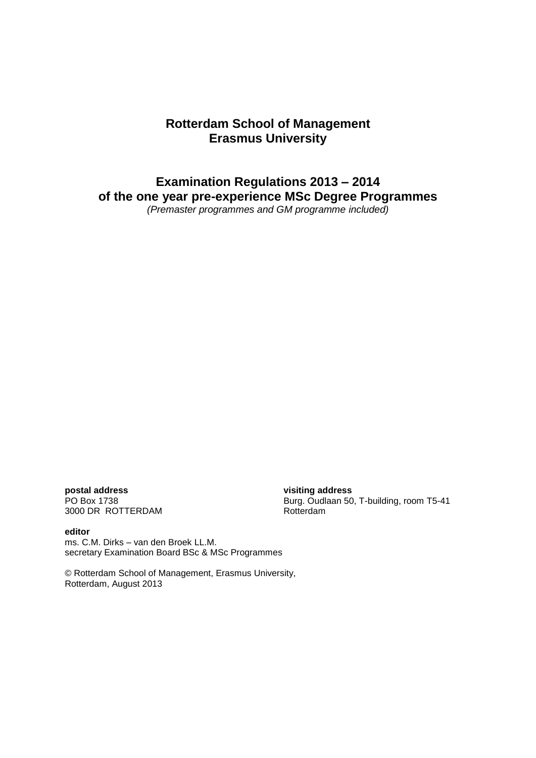# **Rotterdam School of Management Erasmus University**

**Examination Regulations 2013 – 2014 of the one year pre-experience MSc Degree Programmes**

*(Premaster programmes and GM programme included)*

**postal address visiting address** 3000 DR ROTTERDAM

Burg. Oudlaan 50, T-building, room T5-41<br>Rotterdam

#### **editor**

ms. C.M. Dirks – van den Broek LL.M. secretary Examination Board BSc & MSc Programmes

© Rotterdam School of Management, Erasmus University, Rotterdam, August 2013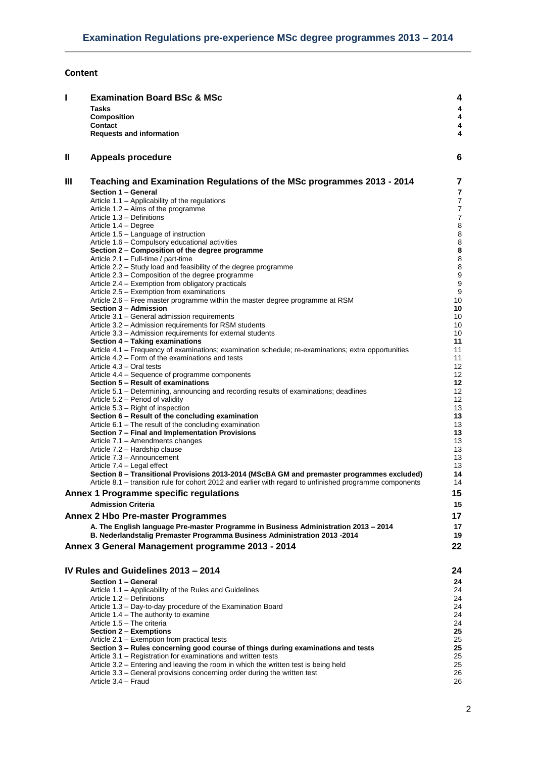# **Content**

| I | <b>Examination Board BSc &amp; MSc</b>                                                                                                                                                                 | 4        |
|---|--------------------------------------------------------------------------------------------------------------------------------------------------------------------------------------------------------|----------|
|   | <b>Tasks</b>                                                                                                                                                                                           | 4        |
|   | <b>Composition</b>                                                                                                                                                                                     | 4        |
|   | Contact<br><b>Requests and information</b>                                                                                                                                                             | 4<br>4   |
|   |                                                                                                                                                                                                        |          |
| Ш | <b>Appeals procedure</b>                                                                                                                                                                               | 6        |
| Ш | Teaching and Examination Regulations of the MSc programmes 2013 - 2014                                                                                                                                 | 7        |
|   | Section 1 - General                                                                                                                                                                                    | 7        |
|   | Article 1.1 - Applicability of the regulations                                                                                                                                                         | 7        |
|   | Article 1.2 - Aims of the programme                                                                                                                                                                    | 7        |
|   | Article 1.3 - Definitions<br>Article 1.4 – Degree                                                                                                                                                      | 7<br>8   |
|   | Article 1.5 - Language of instruction                                                                                                                                                                  | 8        |
|   | Article 1.6 - Compulsory educational activities                                                                                                                                                        | 8        |
|   | Section 2 – Composition of the degree programme<br>Article 2.1 - Full-time / part-time                                                                                                                 | 8<br>8   |
|   | Article 2.2 – Study load and feasibility of the degree programme                                                                                                                                       | 8        |
|   | Article 2.3 - Composition of the degree programme                                                                                                                                                      | 9        |
|   | Article 2.4 – Exemption from obligatory practicals                                                                                                                                                     | 9<br>g   |
|   | Article 2.5 - Exemption from examinations<br>Article 2.6 – Free master programme within the master degree programme at RSM                                                                             | 10       |
|   | Section 3 - Admission                                                                                                                                                                                  | 10       |
|   | Article 3.1 – General admission requirements                                                                                                                                                           | 10       |
|   | Article 3.2 - Admission requirements for RSM students<br>Article 3.3 – Admission requirements for external students                                                                                    | 10<br>10 |
|   | Section 4 - Taking examinations                                                                                                                                                                        | 11       |
|   | Article 4.1 - Frequency of examinations; examination schedule; re-examinations; extra opportunities                                                                                                    | 11       |
|   | Article 4.2 – Form of the examinations and tests                                                                                                                                                       | 11       |
|   | Article 4.3 – Oral tests<br>Article 4.4 – Sequence of programme components                                                                                                                             | 12<br>12 |
|   | Section 5 - Result of examinations                                                                                                                                                                     | 12       |
|   | Article 5.1 - Determining, announcing and recording results of examinations; deadlines                                                                                                                 | 12       |
|   | Article 5.2 - Period of validity<br>Article 5.3 – Right of inspection                                                                                                                                  | 12<br>13 |
|   | Section 6 - Result of the concluding examination                                                                                                                                                       | 13       |
|   | Article 6.1 – The result of the concluding examination                                                                                                                                                 | 13       |
|   | Section 7 - Final and Implementation Provisions                                                                                                                                                        | 13       |
|   | Article 7.1 - Amendments changes<br>Article 7.2 - Hardship clause                                                                                                                                      | 13<br>13 |
|   | Article 7.3 - Announcement                                                                                                                                                                             | 13       |
|   | Article 7.4 – Legal effect                                                                                                                                                                             | 13       |
|   | Section 8 – Transitional Provisions 2013-2014 (MScBA GM and premaster programmes excluded)<br>Article 8.1 – transition rule for cohort 2012 and earlier with regard to unfinished programme components | 14<br>14 |
|   | Annex 1 Programme specific regulations                                                                                                                                                                 | 15       |
|   | <b>Admission Criteria</b>                                                                                                                                                                              | 15       |
|   | Annex 2 Hbo Pre-master Programmes                                                                                                                                                                      | 17       |
|   | A. The English language Pre-master Programme in Business Administration 2013 - 2014<br>B. Nederlandstalig Premaster Programma Business Administration 2013 -2014                                       | 17<br>19 |
|   | Annex 3 General Management programme 2013 - 2014                                                                                                                                                       | 22       |
|   | IV Rules and Guidelines 2013 - 2014                                                                                                                                                                    | 24       |
|   | Section 1 - General                                                                                                                                                                                    | 24       |
|   | Article 1.1 - Applicability of the Rules and Guidelines                                                                                                                                                | 24       |
|   | Article 1.2 - Definitions                                                                                                                                                                              | 24       |
|   | Article 1.3 - Day-to-day procedure of the Examination Board<br>Article 1.4 - The authority to examine                                                                                                  | 24<br>24 |
|   | Article 1.5 - The criteria                                                                                                                                                                             | 24       |
|   | Section 2 - Exemptions                                                                                                                                                                                 | 25       |
|   | Article 2.1 - Exemption from practical tests                                                                                                                                                           | 25       |
|   | Section 3 - Rules concerning good course of things during examinations and tests<br>Article 3.1 – Registration for examinations and written tests                                                      | 25<br>25 |
|   | Article 3.2 – Entering and leaving the room in which the written test is being held                                                                                                                    | 25       |
|   | Article 3.3 – General provisions concerning order during the written test                                                                                                                              | 26       |
|   | Article 3.4 - Fraud                                                                                                                                                                                    | 26       |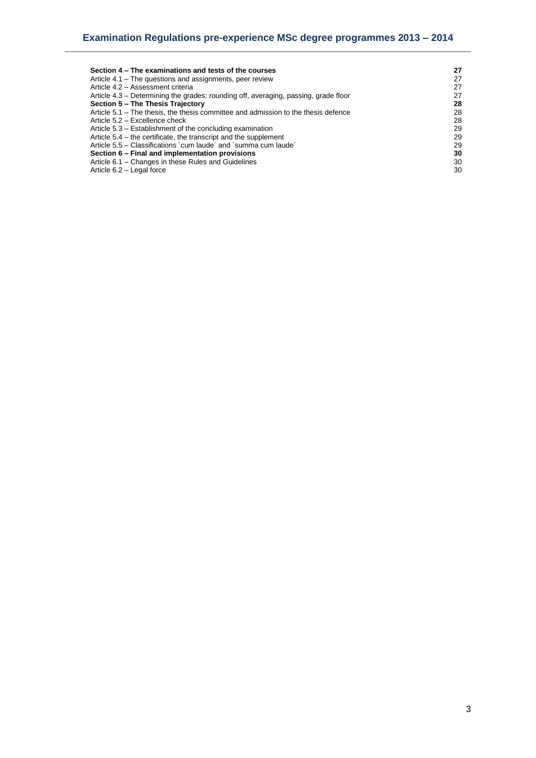| Section 4 – The examinations and tests of the courses                               | 27 |
|-------------------------------------------------------------------------------------|----|
| Article 4.1 – The questions and assignments, peer review                            | 27 |
| Article 4.2 - Assessment criteria                                                   | 27 |
| Article 4.3 – Determining the grades: rounding off, averaging, passing, grade floor | 27 |
| Section 5 - The Thesis Trajectory                                                   | 28 |
| Article 5.1 – The thesis, the thesis committee and admission to the thesis defence  | 28 |
| Article 5.2 - Excellence check                                                      | 28 |
| Article 5.3 – Establishment of the concluding examination                           | 29 |
| Article 5.4 – the certificate, the transcript and the supplement                    | 29 |
| Article 5.5 – Classifications 'cum laude' and 'summa cum laude'                     | 29 |
| Section 6 – Final and implementation provisions                                     | 30 |
| Article 6.1 – Changes in these Rules and Guidelines                                 | 30 |
| Article 6.2 - Legal force                                                           | 30 |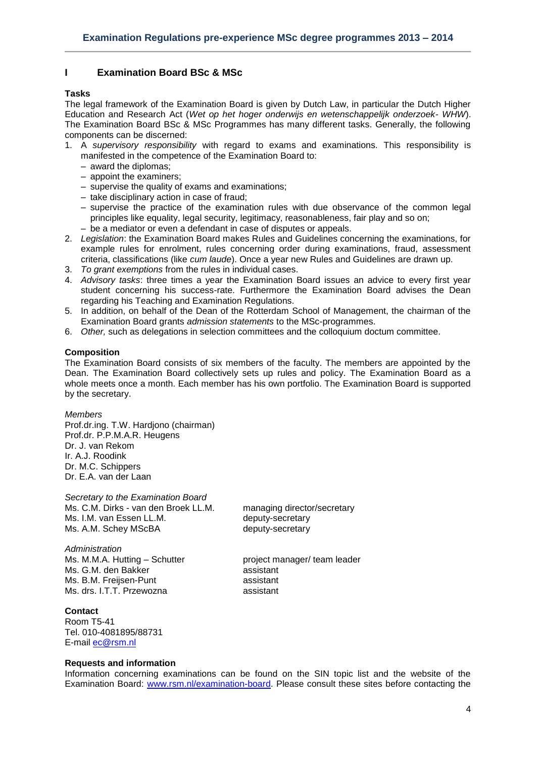# <span id="page-3-0"></span>**I Examination Board BSc & MSc**

# <span id="page-3-1"></span>**Tasks**

The legal framework of the Examination Board is given by Dutch Law, in particular the Dutch Higher Education and Research Act (*Wet op het hoger onderwijs en wetenschappelijk onderzoek- WHW*). The Examination Board BSc & MSc Programmes has many different tasks. Generally, the following components can be discerned:

- 1. A *supervisory responsibility* with regard to exams and examinations. This responsibility is manifested in the competence of the Examination Board to:
	- award the diplomas;
	- appoint the examiners;
	- supervise the quality of exams and examinations;
	- take disciplinary action in case of fraud;
	- supervise the practice of the examination rules with due observance of the common legal principles like equality, legal security, legitimacy, reasonableness, fair play and so on;
	- be a mediator or even a defendant in case of disputes or appeals.
- 2. *Legislation*: the Examination Board makes Rules and Guidelines concerning the examinations, for example rules for enrolment, rules concerning order during examinations, fraud, assessment criteria, classifications (like *cum laude*). Once a year new Rules and Guidelines are drawn up.
- 3. *To grant exemptions* from the rules in individual cases.
- 4. *Advisory tasks*: three times a year the Examination Board issues an advice to every first year student concerning his success-rate. Furthermore the Examination Board advises the Dean regarding his Teaching and Examination Regulations.
- 5. In addition, on behalf of the Dean of the Rotterdam School of Management, the chairman of the Examination Board grants *admission statements* to the MSc-programmes.
- 6. *Other,* such as delegations in selection committees and the colloquium doctum committee.

# <span id="page-3-2"></span>**Composition**

The Examination Board consists of six members of the faculty. The members are appointed by the Dean. The Examination Board collectively sets up rules and policy. The Examination Board as a whole meets once a month. Each member has his own portfolio. The Examination Board is supported by the secretary.

*Members* Prof.dr.ing. T.W. Hardjono (chairman) Prof.dr. P.P.M.A.R. Heugens Dr. J. van Rekom Ir. A.J. Roodink Dr. M.C. Schippers Dr. E.A. van der Laan

*Secretary to the Examination Board* Ms. C.M. Dirks - van den Broek LL.M. managing director/secretary Ms. I.M. van Essen LL.M. **Example 20 a.C.** Ms. I.M. van Essen LL.M. Ms. A.M. Schey MScBA deputy-secretary

*Administration* Ms. M.M.A. Hutting – Schutter project manager/ team leader<br>Ms. G.M. den Bakker externe project manager/ team leader Ms. G.M. den Bakker Ms. B.M. Freijsen-Punt assistant Ms. drs. I.T.T. Przewozna assistant

<span id="page-3-3"></span>**Contact** Room T5-41 Tel. 010-4081895/88731 E-mail **ec@rsm.nl** 

<span id="page-3-4"></span>**Requests and information**

Information concerning examinations can be found on the SIN topic list and the website of the Examination Board: [www.rsm.nl/examination-board.](http://www.rsm.nl/examination-board) Please consult these sites before contacting the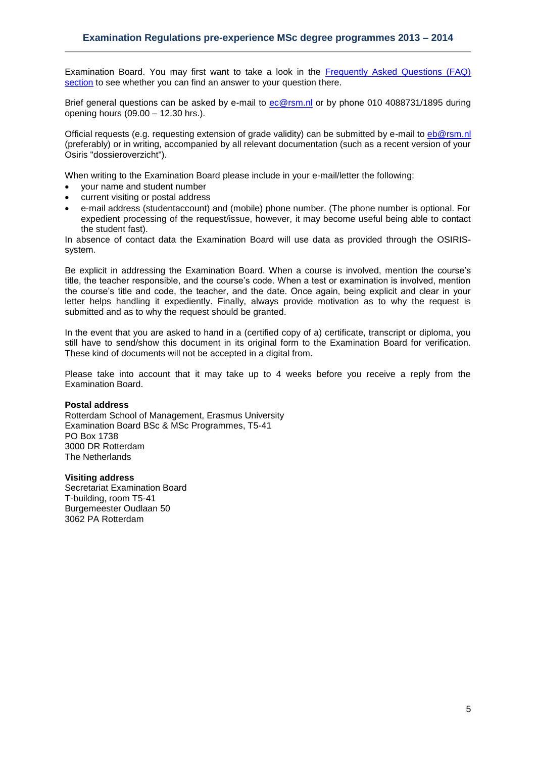Examination Board. You may first want to take a look in the [Frequently Asked Questions \(FAQ\)](http://www.rsm.nl/examination-board/frequently-asked-questions-faqs/)  [section](http://www.rsm.nl/examination-board/frequently-asked-questions-faqs/) to see whether you can find an answer to your question there.

Brief general questions can be asked by e-mail to [ec@rsm.nl](mailto:ec@rsm.nl) or by phone 010 4088731/1895 during opening hours (09.00 – 12.30 hrs.).

Official requests (e.g. requesting extension of grade validity) can be submitted by e-mail to [eb@rsm.nl](javascript:linkTo_UnCryptMailto() (preferably) or in writing, accompanied by all relevant documentation (such as a recent version of your Osiris "dossieroverzicht").

When writing to the Examination Board please include in your e-mail/letter the following:

- your name and student number
- current visiting or postal address
- e-mail address (studentaccount) and (mobile) phone number. (The phone number is optional. For expedient processing of the request/issue, however, it may become useful being able to contact the student fast).

In absence of contact data the Examination Board will use data as provided through the OSIRISsystem.

Be explicit in addressing the Examination Board. When a course is involved, mention the course's title, the teacher responsible, and the course's code. When a test or examination is involved, mention the course's title and code, the teacher, and the date. Once again, being explicit and clear in your letter helps handling it expediently. Finally, always provide motivation as to why the request is submitted and as to why the request should be granted.

In the event that you are asked to hand in a (certified copy of a) certificate, transcript or diploma, you still have to send/show this document in its original form to the Examination Board for verification. These kind of documents will not be accepted in a digital from.

Please take into account that it may take up to 4 weeks before you receive a reply from the Examination Board.

#### **Postal address**

Rotterdam School of Management, Erasmus University Examination Board BSc & MSc Programmes, T5-41 PO Box 1738 3000 DR Rotterdam The Netherlands

#### **Visiting address**

Secretariat Examination Board T-building, room T5-41 Burgemeester Oudlaan 50 3062 PA Rotterdam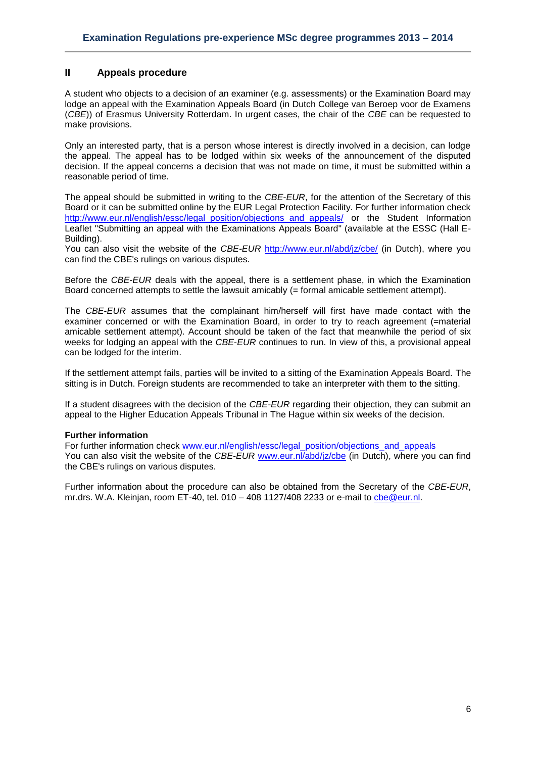# <span id="page-5-0"></span>**II Appeals procedure**

A student who objects to a decision of an examiner (e.g. assessments) or the Examination Board may lodge an appeal with the Examination Appeals Board (in Dutch College van Beroep voor de Examens (*CBE*)) of Erasmus University Rotterdam. In urgent cases, the chair of the *CBE* can be requested to make provisions.

Only an interested party, that is a person whose interest is directly involved in a decision, can lodge the appeal. The appeal has to be lodged within six weeks of the announcement of the disputed decision. If the appeal concerns a decision that was not made on time, it must be submitted within a reasonable period of time.

The appeal should be submitted in writing to the *CBE*-*EUR*, for the attention of the Secretary of this Board or it can be submitted online by the EUR Legal Protection Facility. For further information check [http://www.eur.nl/english/essc/legal\\_position/objections\\_and\\_appeals/](http://www.eur.nl/english/essc/legal_position/objections_and_appeals/) or the Student Information Leaflet "Submitting an appeal with the Examinations Appeals Board" (available at the ESSC (Hall E-Building).

You can also visit the website of the *CBE-EUR* <http://www.eur.nl/abd/jz/cbe/> (in Dutch), where you can find the CBE's rulings on various disputes.

Before the *CBE*-*EUR* deals with the appeal, there is a settlement phase, in which the Examination Board concerned attempts to settle the lawsuit amicably (= formal amicable settlement attempt).

The *CBE*-*EUR* assumes that the complainant him/herself will first have made contact with the examiner concerned or with the Examination Board, in order to try to reach agreement (=material amicable settlement attempt). Account should be taken of the fact that meanwhile the period of six weeks for lodging an appeal with the *CBE*-*EUR* continues to run. In view of this, a provisional appeal can be lodged for the interim.

If the settlement attempt fails, parties will be invited to a sitting of the Examination Appeals Board. The sitting is in Dutch. Foreign students are recommended to take an interpreter with them to the sitting.

If a student disagrees with the decision of the *CBE-EUR* regarding their objection, they can submit an appeal to the Higher Education Appeals Tribunal in The Hague within six weeks of the decision.

# **Further information**

For further information check [www.eur.nl/english/essc/legal\\_position/objections\\_and\\_appeals](http://www.eur.nl/english/essc/legal_position/objections_and_appeals) You can also visit the website of the *CBE-EUR* [www.eur.nl/abd/jz/cbe](http://www.eur.nl/abd/jz/cbe) (in Dutch), where you can find the CBE's rulings on various disputes.

Further information about the procedure can also be obtained from the Secretary of the *CBE-EUR*, mr.drs. W.A. Kleinjan, room ET-40, tel. 010 – 408 1127/408 2233 or e-mail to [cbe@eur.nl.](mailto:cbe@eur.nl)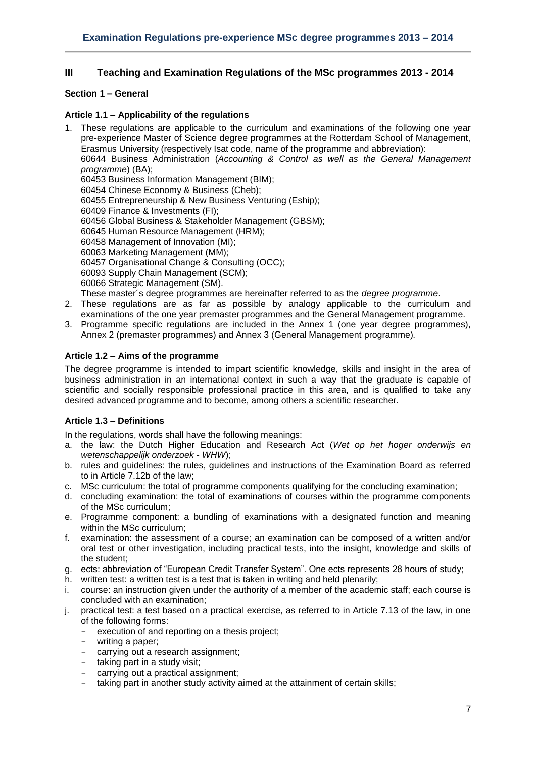# <span id="page-6-0"></span>**III Teaching and Examination Regulations of the MSc programmes 2013 - 2014**

# <span id="page-6-2"></span><span id="page-6-1"></span>**Section 1 – General**

### **Article 1.1 – Applicability of the regulations**

- 1. These regulations are applicable to the curriculum and examinations of the following one year pre-experience Master of Science degree programmes at the Rotterdam School of Management, Erasmus University (respectively Isat code, name of the programme and abbreviation): 60644 Business Administration (*Accounting & Control as well as the General Management programme*) (BA); 60453 Business Information Management (BIM); 60454 Chinese Economy & Business (Cheb); 60455 Entrepreneurship & New Business Venturing (Eship); 60409 Finance & Investments (FI); 60456 Global Business & Stakeholder Management (GBSM); 60645 Human Resource Management (HRM); 60458 Management of Innovation (MI); 60063 Marketing Management (MM); 60457 Organisational Change & Consulting (OCC); 60093 Supply Chain Management (SCM); 60066 Strategic Management (SM). These master´s degree programmes are hereinafter referred to as the *degree programme*.
- 2. These regulations are as far as possible by analogy applicable to the curriculum and examinations of the one year premaster programmes and the General Management programme.
- 3. Programme specific regulations are included in the Annex 1 (one year degree programmes), Annex 2 (premaster programmes) and Annex 3 (General Management programme)*.*

# <span id="page-6-3"></span>**Article 1.2 – Aims of the programme**

The degree programme is intended to impart scientific knowledge, skills and insight in the area of business administration in an international context in such a way that the graduate is capable of scientific and socially responsible professional practice in this area, and is qualified to take any desired advanced programme and to become, among others a scientific researcher.

# <span id="page-6-4"></span>**Article 1.3 – Definitions**

In the regulations, words shall have the following meanings:

- a. the law: the Dutch Higher Education and Research Act (*Wet op het hoger onderwijs en wetenschappelijk onderzoek* - *WHW*);
- b. rules and guidelines: the rules, guidelines and instructions of the Examination Board as referred to in Article 7.12b of the law;
- c. MSc curriculum: the total of programme components qualifying for the concluding examination;
- d. concluding examination: the total of examinations of courses within the programme components of the MSc curriculum;
- e. Programme component: a bundling of examinations with a designated function and meaning within the MSc curriculum;
- f. examination: the assessment of a course; an examination can be composed of a written and/or oral test or other investigation, including practical tests, into the insight, knowledge and skills of the student;
- g. ects: abbreviation of "European Credit Transfer System". One ects represents 28 hours of study;
- h. written test: a written test is a test that is taken in writing and held plenarily;
- i. course: an instruction given under the authority of a member of the academic staff; each course is concluded with an examination;
- j. practical test: a test based on a practical exercise, as referred to in Article 7.13 of the law, in one of the following forms:
	- execution of and reporting on a thesis project;
	- writing a paper;
	- carrying out a research assignment:
	- taking part in a study visit;
	- carrying out a practical assignment;
	- taking part in another study activity aimed at the attainment of certain skills;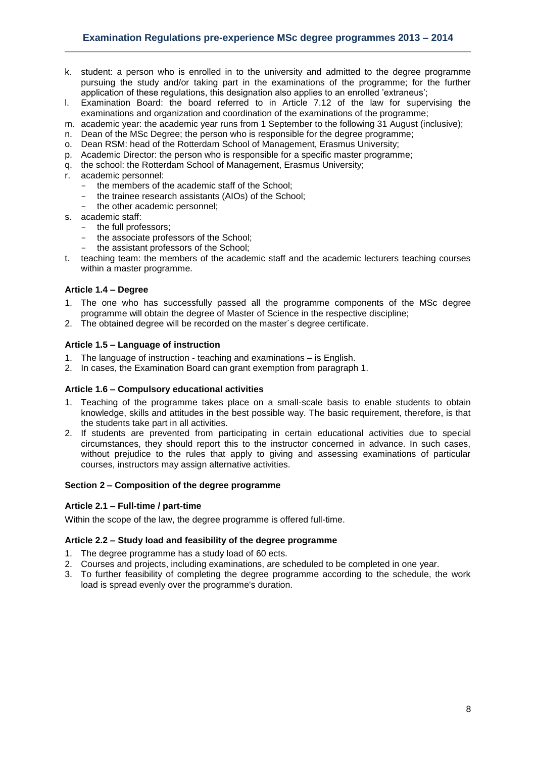- k. student: a person who is enrolled in to the university and admitted to the degree programme pursuing the study and/or taking part in the examinations of the programme; for the further application of these regulations, this designation also applies to an enrolled 'extraneus';
- l. Examination Board: the board referred to in Article 7.12 of the law for supervising the examinations and organization and coordination of the examinations of the programme;
- m. academic year: the academic year runs from 1 September to the following 31 August (inclusive);
- n. Dean of the MSc Degree; the person who is responsible for the degree programme;
- o. Dean RSM: head of the Rotterdam School of Management, Erasmus University;
- p. Academic Director: the person who is responsible for a specific master programme;
- q. the school: the Rotterdam School of Management, Erasmus University;
- r. academic personnel:
	- the members of the academic staff of the School;<br>the trainee recepts escietants  $(ADQ)$  of the School;
	- the trainee research assistants (AIOs) of the School:
	- the other academic personnel;
- s. academic staff:
	- the full professors;
	- the associate professors of the School:
	- the assistant professors of the School:
- t. teaching team: the members of the academic staff and the academic lecturers teaching courses within a master programme.

#### <span id="page-7-0"></span>**Article 1.4 – Degree**

- 1. The one who has successfully passed all the programme components of the MSc degree programme will obtain the degree of Master of Science in the respective discipline;
- 2. The obtained degree will be recorded on the master´s degree certificate.

#### <span id="page-7-1"></span>**Article 1.5 – Language of instruction**

- 1. The language of instruction teaching and examinations is English.
- <span id="page-7-2"></span>2. In cases, the Examination Board can grant exemption from paragraph 1.

#### **Article 1.6 – Compulsory educational activities**

- 1. Teaching of the programme takes place on a small-scale basis to enable students to obtain knowledge, skills and attitudes in the best possible way. The basic requirement, therefore, is that the students take part in all activities.
- 2. If students are prevented from participating in certain educational activities due to special circumstances, they should report this to the instructor concerned in advance. In such cases, without prejudice to the rules that apply to giving and assessing examinations of particular courses, instructors may assign alternative activities.

#### <span id="page-7-4"></span><span id="page-7-3"></span>**Section 2 – Composition of the degree programme**

## **Article 2.1 – Full-time / part-time**

<span id="page-7-5"></span>Within the scope of the law, the degree programme is offered full-time.

#### **Article 2.2 – Study load and feasibility of the degree programme**

- 1. The degree programme has a study load of 60 ects.
- 2. Courses and projects, including examinations, are scheduled to be completed in one year.
- 3. To further feasibility of completing the degree programme according to the schedule, the work load is spread evenly over the programme's duration.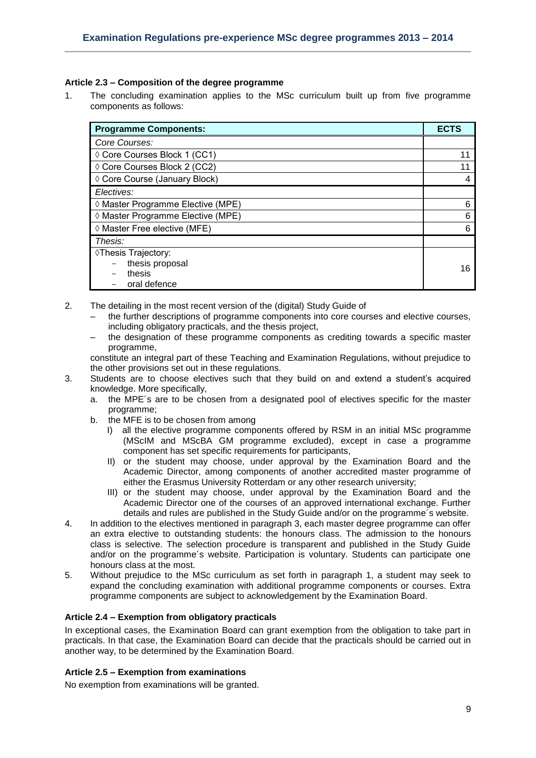# <span id="page-8-0"></span>**Article 2.3 – Composition of the degree programme**

1. The concluding examination applies to the MSc curriculum built up from five programme components as follows:

| <b>Programme Components:</b>      | <b>ECTS</b> |  |  |  |  |
|-----------------------------------|-------------|--|--|--|--|
| Core Courses:                     |             |  |  |  |  |
| ◊ Core Courses Block 1 (CC1)      | 11          |  |  |  |  |
| ◊ Core Courses Block 2 (CC2)      | 11          |  |  |  |  |
| ♦ Core Course (January Block)     |             |  |  |  |  |
| Electives:                        |             |  |  |  |  |
| ◊ Master Programme Elective (MPE) |             |  |  |  |  |
| ◊ Master Programme Elective (MPE) |             |  |  |  |  |
| ◊ Master Free elective (MFE)      |             |  |  |  |  |
| Thesis:                           |             |  |  |  |  |
| ♦Thesis Trajectory:               |             |  |  |  |  |
| thesis proposal                   | 16          |  |  |  |  |
| thesis                            |             |  |  |  |  |
| oral defence                      |             |  |  |  |  |

- 2. The detailing in the most recent version of the (digital) Study Guide of
	- the further descriptions of programme components into core courses and elective courses, including obligatory practicals, and the thesis project,
	- the designation of these programme components as crediting towards a specific master programme,

constitute an integral part of these Teaching and Examination Regulations, without prejudice to the other provisions set out in these regulations.

- 3. Students are to choose electives such that they build on and extend a student's acquired knowledge. More specifically,
	- a. the MPE´s are to be chosen from a designated pool of electives specific for the master programme;
	- b. the MFE is to be chosen from among
		- I) all the elective programme components offered by RSM in an initial MSc programme (MScIM and MScBA GM programme excluded), except in case a programme component has set specific requirements for participants,
		- II) or the student may choose, under approval by the Examination Board and the Academic Director, among components of another accredited master programme of either the Erasmus University Rotterdam or any other research university;
		- III) or the student may choose, under approval by the Examination Board and the Academic Director one of the courses of an approved international exchange. Further details and rules are published in the Study Guide and/or on the programme´s website.
- 4. In addition to the electives mentioned in paragraph 3, each master degree programme can offer an extra elective to outstanding students: the honours class. The admission to the honours class is selective. The selection procedure is transparent and published in the Study Guide and/or on the programme´s website. Participation is voluntary. Students can participate one honours class at the most.
- 5. Without prejudice to the MSc curriculum as set forth in paragraph 1, a student may seek to expand the concluding examination with additional programme components or courses. Extra programme components are subject to acknowledgement by the Examination Board.

#### <span id="page-8-1"></span>**Article 2.4 – Exemption from obligatory practicals**

In exceptional cases, the Examination Board can grant exemption from the obligation to take part in practicals. In that case, the Examination Board can decide that the practicals should be carried out in another way, to be determined by the Examination Board.

# <span id="page-8-2"></span>**Article 2.5 – Exemption from examinations**

No exemption from examinations will be granted.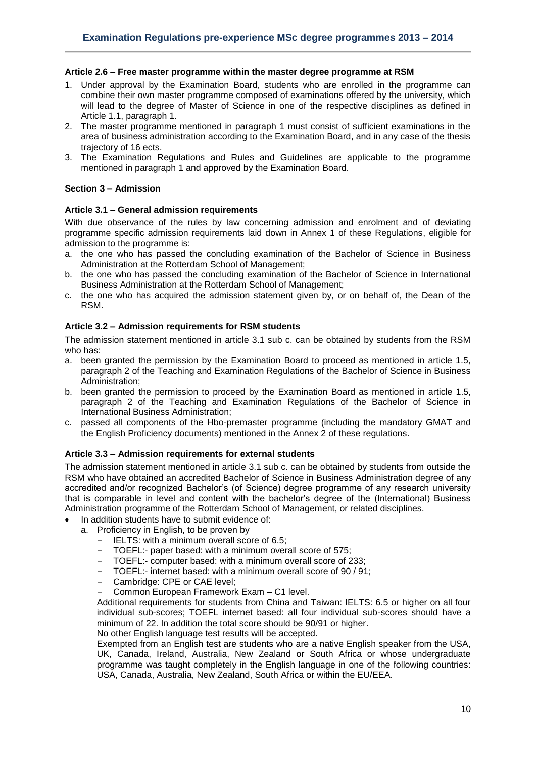# <span id="page-9-0"></span>**Article 2.6 – Free master programme within the master degree programme at RSM**

- 1. Under approval by the Examination Board, students who are enrolled in the programme can combine their own master programme composed of examinations offered by the university, which will lead to the degree of Master of Science in one of the respective disciplines as defined in Article 1.1, paragraph 1.
- 2. The master programme mentioned in paragraph 1 must consist of sufficient examinations in the area of business administration according to the Examination Board, and in any case of the thesis trajectory of 16 ects.
- 3. The Examination Regulations and Rules and Guidelines are applicable to the programme mentioned in paragraph 1 and approved by the Examination Board.

#### <span id="page-9-2"></span><span id="page-9-1"></span>**Section 3 – Admission**

#### **Article 3.1 – General admission requirements**

With due observance of the rules by law concerning admission and enrolment and of deviating programme specific admission requirements laid down in Annex 1 of these Regulations, eligible for admission to the programme is:

- a. the one who has passed the concluding examination of the Bachelor of Science in Business Administration at the Rotterdam School of Management;
- b. the one who has passed the concluding examination of the Bachelor of Science in International Business Administration at the Rotterdam School of Management;
- c. the one who has acquired the admission statement given by, or on behalf of, the Dean of the RSM.

# <span id="page-9-3"></span>**Article 3.2 – Admission requirements for RSM students**

The admission statement mentioned in article 3.1 sub c. can be obtained by students from the RSM who has:

- a. been granted the permission by the Examination Board to proceed as mentioned in article 1.5, paragraph 2 of the Teaching and Examination Regulations of the Bachelor of Science in Business Administration;
- b. been granted the permission to proceed by the Examination Board as mentioned in article 1.5, paragraph 2 of the Teaching and Examination Regulations of the Bachelor of Science in International Business Administration;
- c. passed all components of the Hbo-premaster programme (including the mandatory GMAT and the English Proficiency documents) mentioned in the Annex 2 of these regulations.

# <span id="page-9-4"></span>**Article 3.3 – Admission requirements for external students**

The admission statement mentioned in article 3.1 sub c. can be obtained by students from outside the RSM who have obtained an accredited Bachelor of Science in Business Administration degree of any accredited and/or recognized Bachelor's (of Science) degree programme of any research university that is comparable in level and content with the bachelor's degree of the (International) Business Administration programme of the Rotterdam School of Management, or related disciplines.

- In addition students have to submit evidence of:
	- a. Proficiency in English, to be proven by
		- IELTS: with a minimum overall score of 6.5;
		- TOEFL:- paper based: with a minimum overall score of 575;
		- TOEFL:- computer based: with a minimum overall score of 233;
		- TOEFL:- internet based: with a minimum overall score of 90 / 91;
		- Cambridge: CPE or CAE level:
		- Common European Framework Exam C1 level.

Additional requirements for students from China and Taiwan: IELTS: 6.5 or higher on all four individual sub-scores; TOEFL internet based: all four individual sub-scores should have a minimum of 22. In addition the total score should be 90/91 or higher.

No other English language test results will be accepted.

Exempted from an English test are students who are a native English speaker from the USA, UK, Canada, Ireland, Australia, New Zealand or South Africa or whose undergraduate programme was taught completely in the English language in one of the following countries: USA, Canada, Australia, New Zealand, South Africa or within the EU/EEA.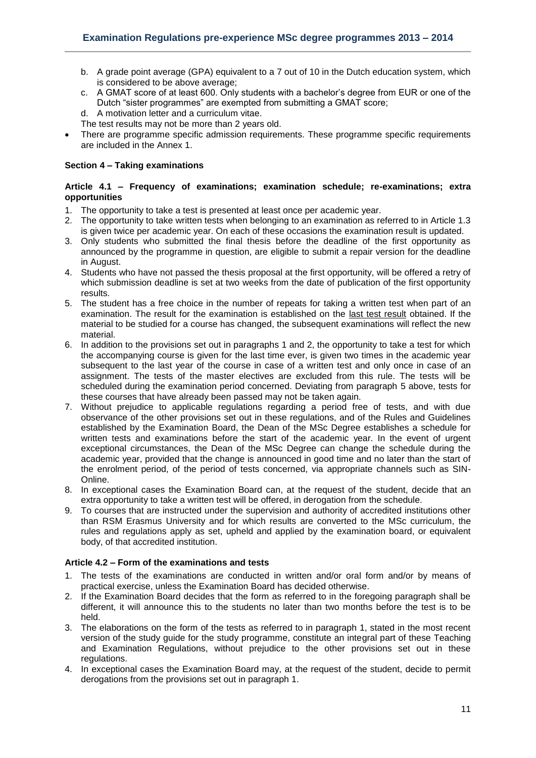- b. A grade point average (GPA) equivalent to a 7 out of 10 in the Dutch education system, which is considered to be above average;
- c. A GMAT score of at least 600. Only students with a bachelor's degree from EUR or one of the Dutch "sister programmes" are exempted from submitting a GMAT score;
- d. A motivation letter and a curriculum vitae.
- The test results may not be more than 2 years old.
- There are programme specific admission requirements. These programme specific requirements are included in the Annex 1.

# <span id="page-10-1"></span><span id="page-10-0"></span>**Section 4 – Taking examinations**

## **Article 4.1 – Frequency of examinations; examination schedule; re-examinations; extra opportunities**

- 1. The opportunity to take a test is presented at least once per academic year.
- 2. The opportunity to take written tests when belonging to an examination as referred to in Article 1.3 is given twice per academic year. On each of these occasions the examination result is updated.
- 3. Only students who submitted the final thesis before the deadline of the first opportunity as announced by the programme in question, are eligible to submit a repair version for the deadline in August.
- 4. Students who have not passed the thesis proposal at the first opportunity, will be offered a retry of which submission deadline is set at two weeks from the date of publication of the first opportunity results.
- 5. The student has a free choice in the number of repeats for taking a written test when part of an examination. The result for the examination is established on the last test result obtained. If the material to be studied for a course has changed, the subsequent examinations will reflect the new material.
- 6. In addition to the provisions set out in paragraphs 1 and 2, the opportunity to take a test for which the accompanying course is given for the last time ever, is given two times in the academic year subsequent to the last year of the course in case of a written test and only once in case of an assignment. The tests of the master electives are excluded from this rule. The tests will be scheduled during the examination period concerned. Deviating from paragraph 5 above, tests for these courses that have already been passed may not be taken again.
- 7. Without prejudice to applicable regulations regarding a period free of tests, and with due observance of the other provisions set out in these regulations, and of the Rules and Guidelines established by the Examination Board, the Dean of the MSc Degree establishes a schedule for written tests and examinations before the start of the academic year. In the event of urgent exceptional circumstances, the Dean of the MSc Degree can change the schedule during the academic year, provided that the change is announced in good time and no later than the start of the enrolment period, of the period of tests concerned, via appropriate channels such as SIN-Online.
- 8. In exceptional cases the Examination Board can, at the request of the student, decide that an extra opportunity to take a written test will be offered, in derogation from the schedule.
- 9. To courses that are instructed under the supervision and authority of accredited institutions other than RSM Erasmus University and for which results are converted to the MSc curriculum, the rules and regulations apply as set, upheld and applied by the examination board, or equivalent body, of that accredited institution.

# <span id="page-10-2"></span>**Article 4.2 – Form of the examinations and tests**

- 1. The tests of the examinations are conducted in written and/or oral form and/or by means of practical exercise, unless the Examination Board has decided otherwise.
- 2. If the Examination Board decides that the form as referred to in the foregoing paragraph shall be different, it will announce this to the students no later than two months before the test is to be held.
- 3. The elaborations on the form of the tests as referred to in paragraph 1, stated in the most recent version of the study guide for the study programme, constitute an integral part of these Teaching and Examination Regulations, without prejudice to the other provisions set out in these regulations.
- 4. In exceptional cases the Examination Board may, at the request of the student, decide to permit derogations from the provisions set out in paragraph 1.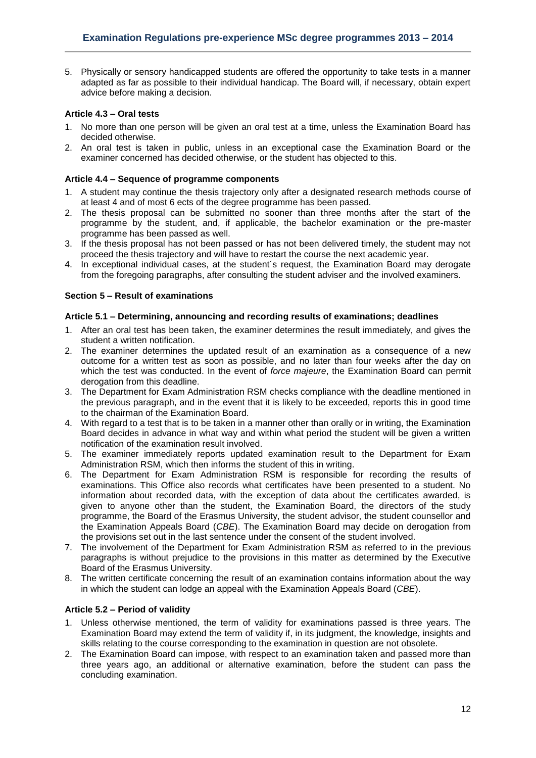5. Physically or sensory handicapped students are offered the opportunity to take tests in a manner adapted as far as possible to their individual handicap. The Board will, if necessary, obtain expert advice before making a decision.

# <span id="page-11-0"></span>**Article 4.3 – Oral tests**

- 1. No more than one person will be given an oral test at a time, unless the Examination Board has decided otherwise.
- 2. An oral test is taken in public, unless in an exceptional case the Examination Board or the examiner concerned has decided otherwise, or the student has objected to this.

# <span id="page-11-1"></span>**Article 4.4 – Sequence of programme components**

- 1. A student may continue the thesis trajectory only after a designated research methods course of at least 4 and of most 6 ects of the degree programme has been passed.
- 2. The thesis proposal can be submitted no sooner than three months after the start of the programme by the student, and, if applicable, the bachelor examination or the pre-master programme has been passed as well.
- 3. If the thesis proposal has not been passed or has not been delivered timely, the student may not proceed the thesis trajectory and will have to restart the course the next academic year.
- 4. In exceptional individual cases, at the student´s request, the Examination Board may derogate from the foregoing paragraphs, after consulting the student adviser and the involved examiners.

# <span id="page-11-2"></span>**Section 5 – Result of examinations**

#### <span id="page-11-3"></span>**Article 5.1 – Determining, announcing and recording results of examinations; deadlines**

- 1. After an oral test has been taken, the examiner determines the result immediately, and gives the student a written notification.
- 2. The examiner determines the updated result of an examination as a consequence of a new outcome for a written test as soon as possible, and no later than four weeks after the day on which the test was conducted. In the event of *force majeure*, the Examination Board can permit derogation from this deadline.
- 3. The Department for Exam Administration RSM checks compliance with the deadline mentioned in the previous paragraph, and in the event that it is likely to be exceeded, reports this in good time to the chairman of the Examination Board.
- 4. With regard to a test that is to be taken in a manner other than orally or in writing, the Examination Board decides in advance in what way and within what period the student will be given a written notification of the examination result involved.
- 5. The examiner immediately reports updated examination result to the Department for Exam Administration RSM, which then informs the student of this in writing.
- 6. The Department for Exam Administration RSM is responsible for recording the results of examinations. This Office also records what certificates have been presented to a student. No information about recorded data, with the exception of data about the certificates awarded, is given to anyone other than the student, the Examination Board, the directors of the study programme, the Board of the Erasmus University, the student advisor, the student counsellor and the Examination Appeals Board (*CBE*). The Examination Board may decide on derogation from the provisions set out in the last sentence under the consent of the student involved.
- 7. The involvement of the Department for Exam Administration RSM as referred to in the previous paragraphs is without prejudice to the provisions in this matter as determined by the Executive Board of the Erasmus University.
- 8. The written certificate concerning the result of an examination contains information about the way in which the student can lodge an appeal with the Examination Appeals Board (*CBE*).

#### <span id="page-11-4"></span>**Article 5.2 – Period of validity**

- 1. Unless otherwise mentioned, the term of validity for examinations passed is three years. The Examination Board may extend the term of validity if, in its judgment, the knowledge, insights and skills relating to the course corresponding to the examination in question are not obsolete.
- 2. The Examination Board can impose, with respect to an examination taken and passed more than three years ago, an additional or alternative examination, before the student can pass the concluding examination.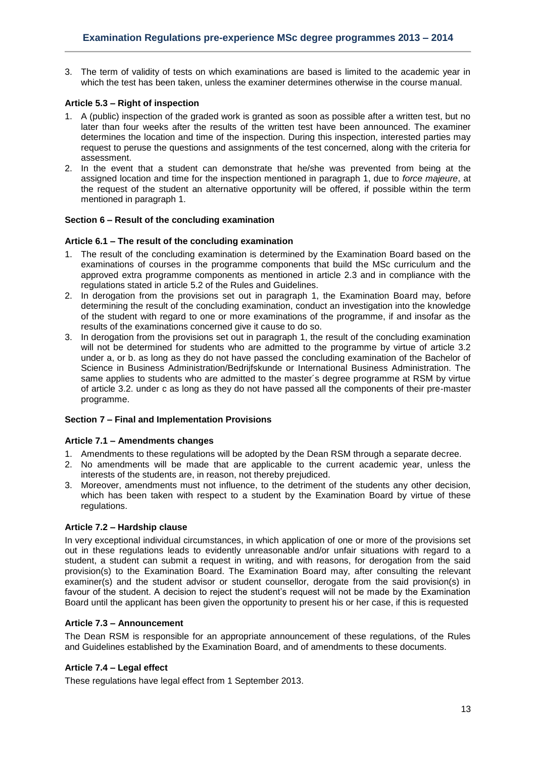3. The term of validity of tests on which examinations are based is limited to the academic year in which the test has been taken, unless the examiner determines otherwise in the course manual.

# <span id="page-12-0"></span>**Article 5.3 – Right of inspection**

- 1. A (public) inspection of the graded work is granted as soon as possible after a written test, but no later than four weeks after the results of the written test have been announced. The examiner determines the location and time of the inspection. During this inspection, interested parties may request to peruse the questions and assignments of the test concerned, along with the criteria for assessment.
- 2. In the event that a student can demonstrate that he/she was prevented from being at the assigned location and time for the inspection mentioned in paragraph 1, due to *force majeure*, at the request of the student an alternative opportunity will be offered, if possible within the term mentioned in paragraph 1.

# <span id="page-12-1"></span>**Section 6 – Result of the concluding examination**

# <span id="page-12-2"></span>**Article 6.1 – The result of the concluding examination**

- 1. The result of the concluding examination is determined by the Examination Board based on the examinations of courses in the programme components that build the MSc curriculum and the approved extra programme components as mentioned in article 2.3 and in compliance with the regulations stated in article 5.2 of the Rules and Guidelines.
- 2. In derogation from the provisions set out in paragraph 1, the Examination Board may, before determining the result of the concluding examination, conduct an investigation into the knowledge of the student with regard to one or more examinations of the programme, if and insofar as the results of the examinations concerned give it cause to do so.
- 3. In derogation from the provisions set out in paragraph 1, the result of the concluding examination will not be determined for students who are admitted to the programme by virtue of article 3.2 under a, or b. as long as they do not have passed the concluding examination of the Bachelor of Science in Business Administration/Bedrijfskunde or International Business Administration. The same applies to students who are admitted to the master´s degree programme at RSM by virtue of article 3.2. under c as long as they do not have passed all the components of their pre-master programme.

# <span id="page-12-4"></span><span id="page-12-3"></span>**Section 7 – Final and Implementation Provisions**

#### **Article 7.1 – Amendments changes**

- 1. Amendments to these regulations will be adopted by the Dean RSM through a separate decree.
- 2. No amendments will be made that are applicable to the current academic year, unless the interests of the students are, in reason, not thereby prejudiced.
- 3. Moreover, amendments must not influence, to the detriment of the students any other decision, which has been taken with respect to a student by the Examination Board by virtue of these regulations.

# <span id="page-12-5"></span>**Article 7.2 – Hardship clause**

In very exceptional individual circumstances, in which application of one or more of the provisions set out in these regulations leads to evidently unreasonable and/or unfair situations with regard to a student, a student can submit a request in writing, and with reasons, for derogation from the said provision(s) to the Examination Board. The Examination Board may, after consulting the relevant examiner(s) and the student advisor or student counsellor, derogate from the said provision(s) in favour of the student. A decision to reject the student's request will not be made by the Examination Board until the applicant has been given the opportunity to present his or her case, if this is requested

# <span id="page-12-6"></span>**Article 7.3 – Announcement**

The Dean RSM is responsible for an appropriate announcement of these regulations, of the Rules and Guidelines established by the Examination Board, and of amendments to these documents.

# <span id="page-12-7"></span>**Article 7.4 – Legal effect**

These regulations have legal effect from 1 September 2013.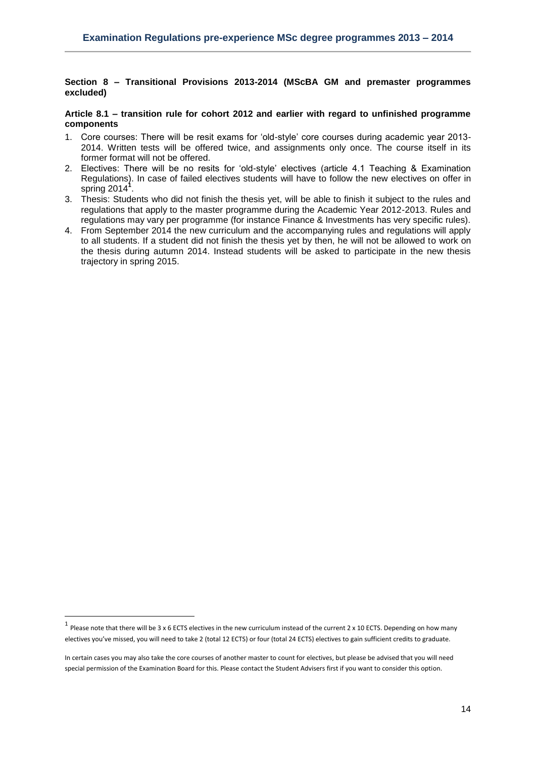# <span id="page-13-0"></span>**Section 8 – Transitional Provisions 2013-2014 (MScBA GM and premaster programmes excluded)**

#### <span id="page-13-1"></span>**Article 8.1 – transition rule for cohort 2012 and earlier with regard to unfinished programme components**

- 1. Core courses: There will be resit exams for 'old-style' core courses during academic year 2013- 2014. Written tests will be offered twice, and assignments only once. The course itself in its former format will not be offered.
- 2. Electives: There will be no resits for 'old-style' electives (article 4.1 Teaching & Examination Regulations). In case of failed electives students will have to follow the new electives on offer in spring 2014**<sup>1</sup>** .
- 3. Thesis: Students who did not finish the thesis yet, will be able to finish it subject to the rules and regulations that apply to the master programme during the Academic Year 2012-2013. Rules and regulations may vary per programme (for instance Finance & Investments has very specific rules).
- 4. From September 2014 the new curriculum and the accompanying rules and regulations will apply to all students. If a student did not finish the thesis yet by then, he will not be allowed to work on the thesis during autumn 2014. Instead students will be asked to participate in the new thesis trajectory in spring 2015.

**.** 

<sup>&</sup>lt;sup>1</sup> Please note that there will be 3 x 6 ECTS electives in the new curriculum instead of the current 2 x 10 ECTS. Depending on how many electives you've missed, you will need to take 2 (total 12 ECTS) or four (total 24 ECTS) electives to gain sufficient credits to graduate.

In certain cases you may also take the core courses of another master to count for electives, but please be advised that you will need special permission of the Examination Board for this. Please contact the Student Advisers first if you want to consider this option.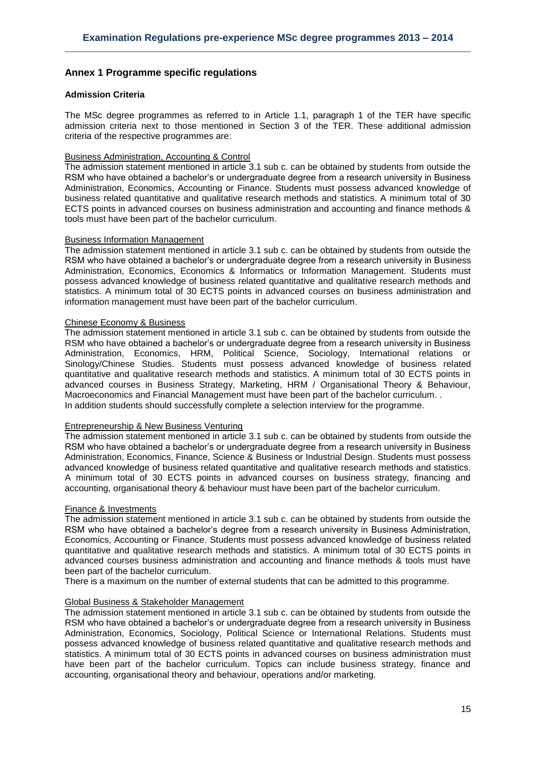# <span id="page-14-0"></span>**Annex 1 Programme specific regulations**

# <span id="page-14-1"></span>**Admission Criteria**

The MSc degree programmes as referred to in Article 1.1, paragraph 1 of the TER have specific admission criteria next to those mentioned in Section 3 of the TER. These additional admission criteria of the respective programmes are:

# Business Administration, Accounting & Control

The admission statement mentioned in article 3.1 sub c. can be obtained by students from outside the RSM who have obtained a bachelor's or undergraduate degree from a research university in Business Administration, Economics, Accounting or Finance. Students must possess advanced knowledge of business related quantitative and qualitative research methods and statistics. A minimum total of 30 ECTS points in advanced courses on business administration and accounting and finance methods & tools must have been part of the bachelor curriculum.

#### Business Information Management

The admission statement mentioned in article 3.1 sub c. can be obtained by students from outside the RSM who have obtained a bachelor's or undergraduate degree from a research university in Business Administration, Economics, Economics & Informatics or Information Management. Students must possess advanced knowledge of business related quantitative and qualitative research methods and statistics. A minimum total of 30 ECTS points in advanced courses on business administration and information management must have been part of the bachelor curriculum.

# Chinese Economy & Business

The admission statement mentioned in article 3.1 sub c. can be obtained by students from outside the RSM who have obtained a bachelor's or undergraduate degree from a research university in Business Administration, Economics, HRM, Political Science, Sociology, International relations or Sinology/Chinese Studies. Students must possess advanced knowledge of business related quantitative and qualitative research methods and statistics. A minimum total of 30 ECTS points in advanced courses in Business Strategy, Marketing, HRM / Organisational Theory & Behaviour, Macroeconomics and Financial Management must have been part of the bachelor curriculum. . In addition students should successfully complete a selection interview for the programme.

#### Entrepreneurship & New Business Venturing

The admission statement mentioned in article 3.1 sub c. can be obtained by students from outside the RSM who have obtained a bachelor's or undergraduate degree from a research university in Business Administration, Economics, Finance, Science & Business or Industrial Design. Students must possess advanced knowledge of business related quantitative and qualitative research methods and statistics. A minimum total of 30 ECTS points in advanced courses on business strategy, financing and accounting, organisational theory & behaviour must have been part of the bachelor curriculum.

#### Finance & Investments

The admission statement mentioned in article 3.1 sub c. can be obtained by students from outside the RSM who have obtained a bachelor's degree from a research university in Business Administration, Economics, Accounting or Finance. Students must possess advanced knowledge of business related quantitative and qualitative research methods and statistics. A minimum total of 30 ECTS points in advanced courses business administration and accounting and finance methods & tools must have been part of the bachelor curriculum.

There is a maximum on the number of external students that can be admitted to this programme.

# Global Business & Stakeholder Management

The admission statement mentioned in article 3.1 sub c. can be obtained by students from outside the RSM who have obtained a bachelor's or undergraduate degree from a research university in Business Administration, Economics, Sociology, Political Science or International Relations. Students must possess advanced knowledge of business related quantitative and qualitative research methods and statistics. A minimum total of 30 ECTS points in advanced courses on business administration must have been part of the bachelor curriculum. Topics can include business strategy, finance and accounting, organisational theory and behaviour, operations and/or marketing.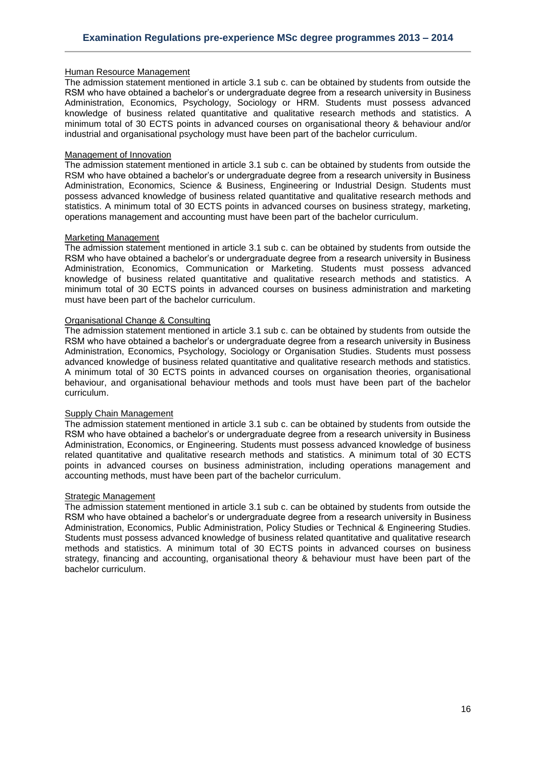#### Human Resource Management

The admission statement mentioned in article 3.1 sub c. can be obtained by students from outside the RSM who have obtained a bachelor's or undergraduate degree from a research university in Business Administration, Economics, Psychology, Sociology or HRM. Students must possess advanced knowledge of business related quantitative and qualitative research methods and statistics. A minimum total of 30 ECTS points in advanced courses on organisational theory & behaviour and/or industrial and organisational psychology must have been part of the bachelor curriculum.

# Management of Innovation

The admission statement mentioned in article 3.1 sub c. can be obtained by students from outside the RSM who have obtained a bachelor's or undergraduate degree from a research university in Business Administration, Economics, Science & Business, Engineering or Industrial Design. Students must possess advanced knowledge of business related quantitative and qualitative research methods and statistics. A minimum total of 30 ECTS points in advanced courses on business strategy, marketing, operations management and accounting must have been part of the bachelor curriculum.

#### Marketing Management

The admission statement mentioned in article 3.1 sub c. can be obtained by students from outside the RSM who have obtained a bachelor's or undergraduate degree from a research university in Business Administration, Economics, Communication or Marketing. Students must possess advanced knowledge of business related quantitative and qualitative research methods and statistics. A minimum total of 30 ECTS points in advanced courses on business administration and marketing must have been part of the bachelor curriculum.

#### Organisational Change & Consulting

The admission statement mentioned in article 3.1 sub c. can be obtained by students from outside the RSM who have obtained a bachelor's or undergraduate degree from a research university in Business Administration, Economics, Psychology, Sociology or Organisation Studies. Students must possess advanced knowledge of business related quantitative and qualitative research methods and statistics. A minimum total of 30 ECTS points in advanced courses on organisation theories, organisational behaviour, and organisational behaviour methods and tools must have been part of the bachelor curriculum.

### Supply Chain Management

The admission statement mentioned in article 3.1 sub c. can be obtained by students from outside the RSM who have obtained a bachelor's or undergraduate degree from a research university in Business Administration, Economics, or Engineering. Students must possess advanced knowledge of business related quantitative and qualitative research methods and statistics. A minimum total of 30 ECTS points in advanced courses on business administration, including operations management and accounting methods, must have been part of the bachelor curriculum.

#### Strategic Management

The admission statement mentioned in article 3.1 sub c. can be obtained by students from outside the RSM who have obtained a bachelor's or undergraduate degree from a research university in Business Administration, Economics, Public Administration, Policy Studies or Technical & Engineering Studies. Students must possess advanced knowledge of business related quantitative and qualitative research methods and statistics. A minimum total of 30 ECTS points in advanced courses on business strategy, financing and accounting, organisational theory & behaviour must have been part of the bachelor curriculum.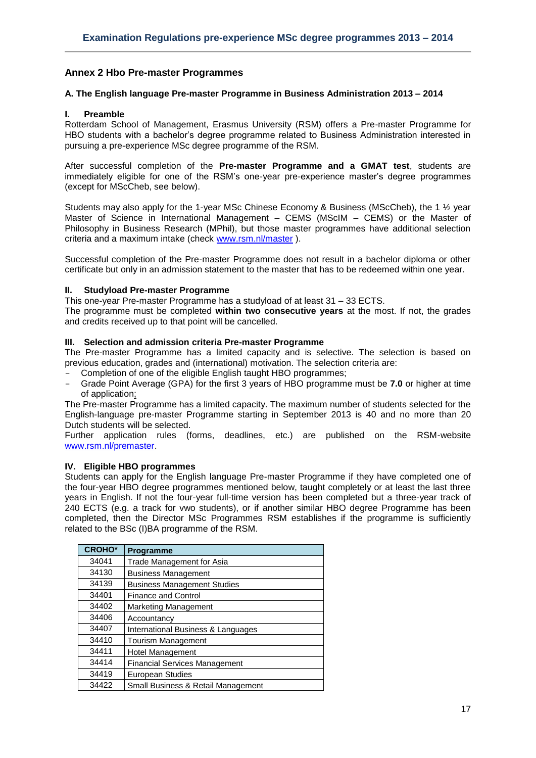# <span id="page-16-0"></span>**Annex 2 Hbo Pre-master Programmes**

## <span id="page-16-1"></span>**A. The English language Pre-master Programme in Business Administration 2013 – 2014**

#### **I. Preamble**

Rotterdam School of Management, Erasmus University (RSM) offers a Pre-master Programme for HBO students with a bachelor's degree programme related to Business Administration interested in pursuing a pre-experience MSc degree programme of the RSM.

After successful completion of the **Pre-master Programme and a GMAT test**, students are immediately eligible for one of the RSM's one-year pre-experience master's degree programmes (except for MScCheb, see below).

Students may also apply for the 1-year MSc Chinese Economy & Business (MScCheb), the 1 ½ year Master of Science in International Management – CEMS (MScIM – CEMS) or the Master of Philosophy in Business Research (MPhil), but those master programmes have additional selection criteria and a maximum intake (check [www.rsm.nl/master](http://www.rsm.nl/master) ).

Successful completion of the Pre-master Programme does not result in a bachelor diploma or other certificate but only in an admission statement to the master that has to be redeemed within one year.

# **II. Studyload Pre-master Programme**

This one-year Pre-master Programme has a studyload of at least 31 – 33 ECTS.

The programme must be completed **within two consecutive years** at the most. If not, the grades and credits received up to that point will be cancelled.

# **III. Selection and admission criteria Pre-master Programme**

The Pre-master Programme has a limited capacity and is selective. The selection is based on previous education, grades and (international) motivation. The selection criteria are:

- Completion of one of the eligible English taught HBO programmes;
- Grade Point Average (GPA) for the first 3 years of HBO programme must be **7.0** or higher at time of application;

The Pre-master Programme has a limited capacity. The maximum number of students selected for the English-language pre-master Programme starting in September 2013 is 40 and no more than 20 Dutch students will be selected.

Further application rules (forms, deadlines, etc.) are published on the RSM-website [www.rsm.nl/premaster.](http://www.rsm.nl/premaster)

# **IV. Eligible HBO programmes**

Students can apply for the English language Pre-master Programme if they have completed one of the four-year HBO degree programmes mentioned below, taught completely or at least the last three years in English. If not the four-year full-time version has been completed but a three-year track of 240 ECTS (e.g. a track for vwo students), or if another similar HBO degree Programme has been completed, then the Director MSc Programmes RSM establishes if the programme is sufficiently related to the BSc (I)BA programme of the RSM.

| <b>CROHO*</b> | <b>Programme</b>                     |
|---------------|--------------------------------------|
| 34041         | Trade Management for Asia            |
| 34130         | <b>Business Management</b>           |
| 34139         | <b>Business Management Studies</b>   |
| 34401         | <b>Finance and Control</b>           |
| 34402         | Marketing Management                 |
| 34406         | Accountancy                          |
| 34407         | International Business & Languages   |
| 34410         | <b>Tourism Management</b>            |
| 34411         | Hotel Management                     |
| 34414         | <b>Financial Services Management</b> |
| 34419         | European Studies                     |
| 34422         | Small Business & Retail Management   |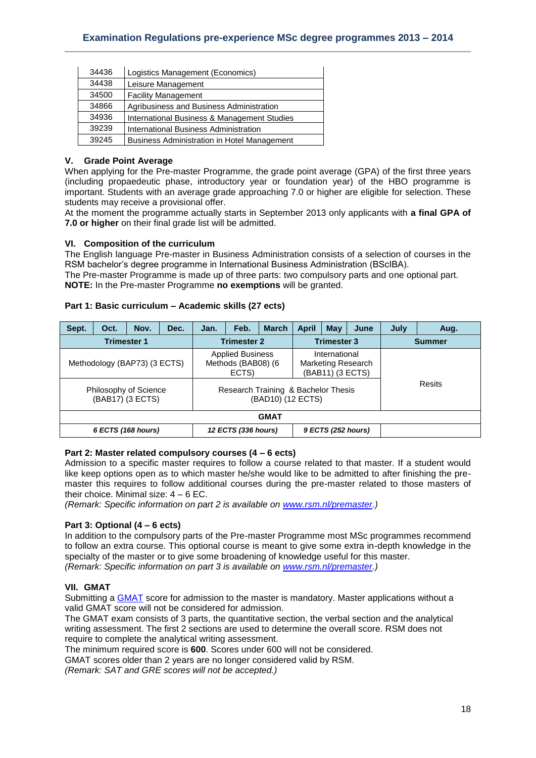| 34436 | Logistics Management (Economics)                   |
|-------|----------------------------------------------------|
| 34438 | Leisure Management                                 |
| 34500 | <b>Facility Management</b>                         |
| 34866 | Agribusiness and Business Administration           |
| 34936 | International Business & Management Studies        |
| 39239 | International Business Administration              |
| 39245 | <b>Business Administration in Hotel Management</b> |

# **V. Grade Point Average**

When applying for the Pre-master Programme, the grade point average (GPA) of the first three years (including propaedeutic phase, introductory year or foundation year) of the HBO programme is important. Students with an average grade approaching 7.0 or higher are eligible for selection. These students may receive a provisional offer.

At the moment the programme actually starts in September 2013 only applicants with **a final GPA of 7.0 or higher** on their final grade list will be admitted.

# **VI. Composition of the curriculum**

The English language Pre-master in Business Administration consists of a selection of courses in the RSM bachelor's degree programme in International Business Administration (BScIBA).

The Pre-master Programme is made up of three parts: two compulsory parts and one optional part. **NOTE:** In the Pre-master Programme **no exemptions** will be granted.

# **Part 1: Basic curriculum – Academic skills (27 ects)**

| Sept.                                                                     | Oct.        | Nov.                                                                                                                                                                                 | Dec.               | Jan. | Feb. | <b>March</b>       | April | May | June          | July | Aug. |
|---------------------------------------------------------------------------|-------------|--------------------------------------------------------------------------------------------------------------------------------------------------------------------------------------|--------------------|------|------|--------------------|-------|-----|---------------|------|------|
| <b>Trimester 1</b>                                                        |             |                                                                                                                                                                                      | <b>Trimester 2</b> |      |      | <b>Trimester 3</b> |       |     | <b>Summer</b> |      |      |
| Methodology (BAP73) (3 ECTS)<br>Philosophy of Science<br>(BAB17) (3 ECTS) |             | <b>Applied Business</b><br>International<br>Methods (BAB08) (6<br><b>Marketing Research</b><br>(BAB11) (3 ECTS)<br>ECTS)<br>Research Training & Bachelor Thesis<br>(BAD10) (12 ECTS) |                    |      |      | Resits             |       |     |               |      |      |
|                                                                           | <b>GMAT</b> |                                                                                                                                                                                      |                    |      |      |                    |       |     |               |      |      |
| 6 ECTS (168 hours)                                                        |             | 12 ECTS (336 hours)<br>9 ECTS (252 hours)                                                                                                                                            |                    |      |      |                    |       |     |               |      |      |

# **Part 2: Master related compulsory courses (4 – 6 ects)**

Admission to a specific master requires to follow a course related to that master. If a student would like keep options open as to which master he/she would like to be admitted to after finishing the premaster this requires to follow additional courses during the pre-master related to those masters of their choice. Minimal size:  $4 - 6$  EC.

*(Remark: Specific information on part 2 is available on [www.rsm.nl/premaster.](http://www.rsm.nl/premaster))*

# **Part 3: Optional (4 – 6 ects)**

In addition to the compulsory parts of the Pre-master Programme most MSc programmes recommend to follow an extra course. This optional course is meant to give some extra in-depth knowledge in the specialty of the master or to give some broadening of knowledge useful for this master. *(Remark: Specific information on part 3 is available on [www.rsm.nl/premaster.](http://www.rsm.nl/premaster))*

# **VII. GMAT**

Submitting a [GMAT](http://www.mba.com/) score for admission to the master is mandatory. Master applications without a valid GMAT score will not be considered for admission.

The GMAT exam consists of 3 parts, the quantitative section, the verbal section and the analytical writing assessment. The first 2 sections are used to determine the overall score. RSM does not require to complete the analytical writing assessment.

The minimum required score is **600**. Scores under 600 will not be considered.

GMAT scores older than 2 years are no longer considered valid by RSM.

*(Remark: SAT and GRE scores will not be accepted.)*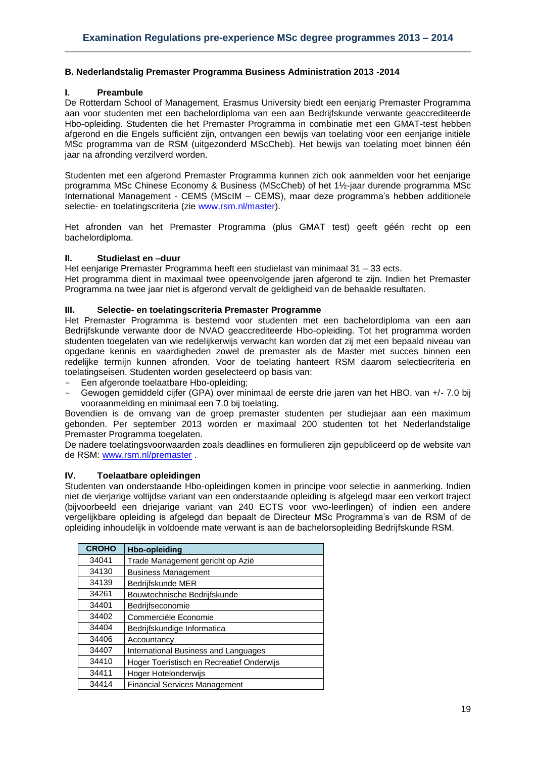# <span id="page-18-0"></span>**B. Nederlandstalig Premaster Programma Business Administration 2013 -2014**

#### **I. Preambule**

De Rotterdam School of Management, Erasmus University biedt een eenjarig Premaster Programma aan voor studenten met een bachelordiploma van een aan Bedrijfskunde verwante geaccrediteerde Hbo-opleiding. Studenten die het Premaster Programma in combinatie met een GMAT-test hebben afgerond en die Engels sufficiënt zijn, ontvangen een bewijs van toelating voor een eenjarige initiële MSc programma van de RSM (uitgezonderd MScCheb). Het bewijs van toelating moet binnen één jaar na afronding verzilverd worden.

Studenten met een afgerond Premaster Programma kunnen zich ook aanmelden voor het eenjarige programma MSc Chinese Economy & Business (MScCheb) of het 1½-jaar durende programma MSc International Management - CEMS (MScIM – CEMS), maar deze programma's hebben additionele selectie- en toelatingscriteria (zie [www.rsm.nl/master\)](http://www.rsm.nl/master).

Het afronden van het Premaster Programma (plus GMAT test) geeft géén recht op een bachelordiploma.

#### **II. Studielast en –duur**

Het eenjarige Premaster Programma heeft een studielast van minimaal 31 – 33 ects. Het programma dient in maximaal twee opeenvolgende jaren afgerond te zijn. Indien het Premaster Programma na twee jaar niet is afgerond vervalt de geldigheid van de behaalde resultaten.

#### **III. Selectie- en toelatingscriteria Premaster Programme**

Het Premaster Programma is bestemd voor studenten met een bachelordiploma van een aan Bedrijfskunde verwante door de NVAO geaccrediteerde Hbo-opleiding. Tot het programma worden studenten toegelaten van wie redelijkerwijs verwacht kan worden dat zij met een bepaald niveau van opgedane kennis en vaardigheden zowel de premaster als de Master met succes binnen een redelijke termijn kunnen afronden. Voor de toelating hanteert RSM daarom selectiecriteria en toelatingseisen. Studenten worden geselecteerd op basis van:

- Een afgeronde toelaatbare Hbo-opleiding;
- Gewogen gemiddeld cijfer (GPA) over minimaal de eerste drie jaren van het HBO, van +/- 7.0 bij vooraanmelding en minimaal een 7.0 bij toelating.

Bovendien is de omvang van de groep premaster studenten per studiejaar aan een maximum gebonden. Per september 2013 worden er maximaal 200 studenten tot het Nederlandstalige Premaster Programma toegelaten.

De nadere toelatingsvoorwaarden zoals deadlines en formulieren zijn gepubliceerd op de website van de RSM: [www.rsm.nl/premaster](http://www.rsm.nl/premaster) .

#### **IV. Toelaatbare opleidingen**

Studenten van onderstaande Hbo-opleidingen komen in principe voor selectie in aanmerking. Indien niet de vierjarige voltijdse variant van een onderstaande opleiding is afgelegd maar een verkort traject (bijvoorbeeld een driejarige variant van 240 ECTS voor vwo-leerlingen) of indien een andere vergelijkbare opleiding is afgelegd dan bepaalt de Directeur MSc Programma's van de RSM of de opleiding inhoudelijk in voldoende mate verwant is aan de bachelorsopleiding Bedrijfskunde RSM.

| <b>CROHO</b> | Hbo-opleiding                             |
|--------------|-------------------------------------------|
| 34041        | Trade Management gericht op Azië          |
| 34130        | <b>Business Management</b>                |
| 34139        | Bedrijfskunde MER                         |
| 34261        | Bouwtechnische Bedrijfskunde              |
| 34401        | Bedrijfseconomie                          |
| 34402        | Commerciële Economie                      |
| 34404        | Bedrijfskundige Informatica               |
| 34406        | Accountancy                               |
| 34407        | International Business and Languages      |
| 34410        | Hoger Toeristisch en Recreatief Onderwijs |
| 34411        | Hoger Hotelonderwijs                      |
| 34414        | <b>Financial Services Management</b>      |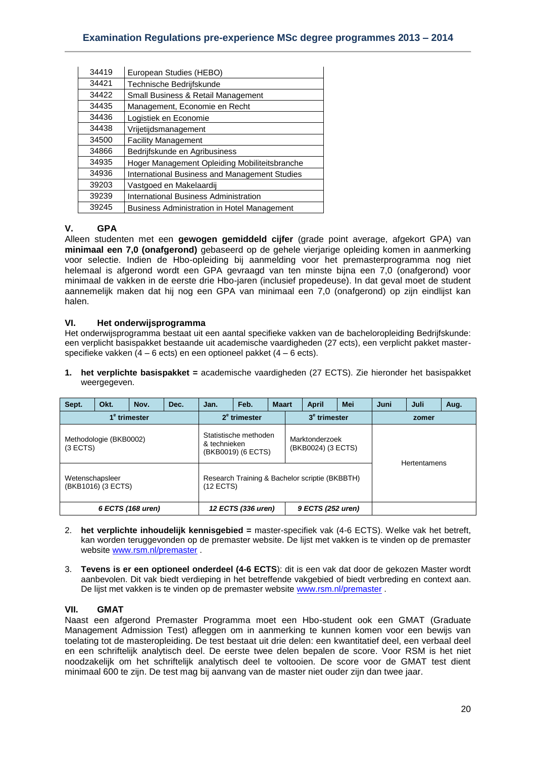| 34419 | European Studies (HEBO)                            |
|-------|----------------------------------------------------|
| 34421 | Technische Bedrijfskunde                           |
| 34422 | Small Business & Retail Management                 |
| 34435 | Management, Economie en Recht                      |
| 34436 | Logistiek en Economie                              |
| 34438 | Vrijetijdsmanagement                               |
| 34500 | <b>Facility Management</b>                         |
| 34866 | Bedrijfskunde en Agribusiness                      |
| 34935 | Hoger Management Opleiding Mobiliteitsbranche      |
| 34936 | International Business and Management Studies      |
| 39203 | Vastgoed en Makelaardij                            |
| 39239 | International Business Administration              |
| 39245 | <b>Business Administration in Hotel Management</b> |

# **V. GPA**

Alleen studenten met een **gewogen gemiddeld cijfer** (grade point average, afgekort GPA) van **minimaal een 7,0 (onafgerond)** gebaseerd op de gehele vierjarige opleiding komen in aanmerking voor selectie. Indien de Hbo-opleiding bij aanmelding voor het premasterprogramma nog niet helemaal is afgerond wordt een GPA gevraagd van ten minste bijna een 7,0 (onafgerond) voor minimaal de vakken in de eerste drie Hbo-jaren (inclusief propedeuse). In dat geval moet de student aannemelijk maken dat hij nog een GPA van minimaal een 7,0 (onafgerond) op zijn eindlijst kan halen.

# **VI. Het onderwijsprogramma**

Het onderwijsprogramma bestaat uit een aantal specifieke vakken van de bacheloropleiding Bedrijfskunde: een verplicht basispakket bestaande uit academische vaardigheden (27 ects), een verplicht pakket masterspecifieke vakken  $(4 - 6 \text{ects})$  en een optioneel pakket  $(4 - 6 \text{ects})$ .

**1. het verplichte basispakket =** academische vaardigheden (27 ECTS). Zie hieronder het basispakket weergegeven.

| Sept.                                 | Okt.                     | Nov.                                                          | Dec.                                        | Jan. | Feb.                                 | <b>Maart</b> |  | <b>April</b>        | Mei | Juni | Juli | Aug. |
|---------------------------------------|--------------------------|---------------------------------------------------------------|---------------------------------------------|------|--------------------------------------|--------------|--|---------------------|-----|------|------|------|
|                                       | 1 <sup>e</sup> trimester | 2 <sup>e</sup> trimester<br>3 <sup>e</sup> trimester          |                                             |      |                                      | zomer        |  |                     |     |      |      |      |
| (3 ECTS)                              | Methodologie (BKB0002)   | & technieken                                                  | Statistische methoden<br>(BKB0019) (6 ECTS) |      | Marktonderzoek<br>(BKB0024) (3 ECTS) |              |  | <b>Hertentamens</b> |     |      |      |      |
| Wetenschapsleer<br>(BKB1016) (3 ECTS) |                          | Research Training & Bachelor scriptie (BKBBTH)<br>$(12$ ECTS) |                                             |      |                                      |              |  |                     |     |      |      |      |
| 6 ECTS (168 uren)                     |                          | 12 ECTS (336 uren)<br>9 ECTS (252 uren)                       |                                             |      |                                      |              |  |                     |     |      |      |      |

- 2. **het verplichte inhoudelijk kennisgebied =** master-specifiek vak (4-6 ECTS). Welke vak het betreft, kan worden teruggevonden op de premaster website. De lijst met vakken is te vinden op de premaster website [www.rsm.nl/premaster](http://www.rsm.nl/premaster) .
- 3. **Tevens is er een optioneel onderdeel (4-6 ECTS**): dit is een vak dat door de gekozen Master wordt aanbevolen. Dit vak biedt verdieping in het betreffende vakgebied of biedt verbreding en context aan. De lijst met vakken is te vinden op de premaster website [www.rsm.nl/premaster](http://www.rsm.nl/premaster) .

#### **VII. GMAT**

Naast een afgerond Premaster Programma moet een Hbo-student ook een GMAT (Graduate Management Admission Test) afleggen om in aanmerking te kunnen komen voor een bewijs van toelating tot de masteropleiding. De test bestaat uit drie delen: een kwantitatief deel, een verbaal deel en een schriftelijk analytisch deel. De eerste twee delen bepalen de score. Voor RSM is het niet noodzakelijk om het schriftelijk analytisch deel te voltooien. De score voor de GMAT test dient minimaal 600 te zijn. De test mag bij aanvang van de master niet ouder zijn dan twee jaar.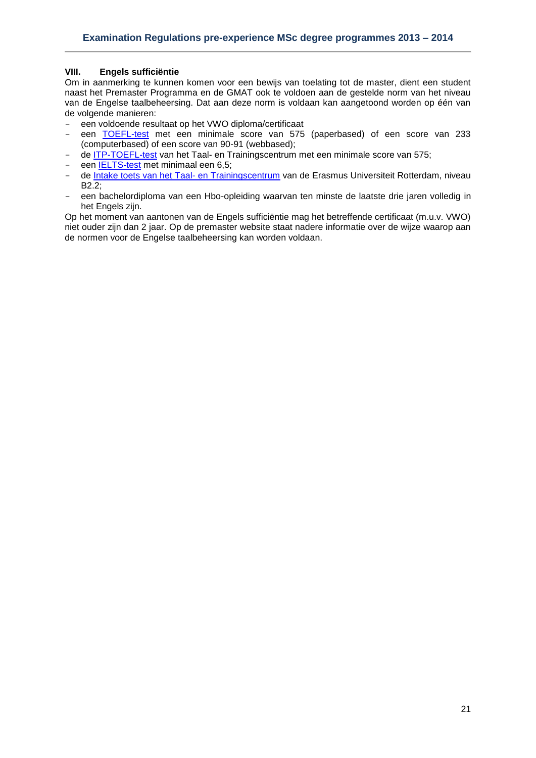# **VIII. Engels sufficiëntie**

Om in aanmerking te kunnen komen voor een bewijs van toelating tot de master, dient een student naast het Premaster Programma en de GMAT ook te voldoen aan de gestelde norm van het niveau van de Engelse taalbeheersing. Dat aan deze norm is voldaan kan aangetoond worden op één van de volgende manieren:

- een voldoende resultaat op het VWO diploma/certificaat

- een [TOEFL-test](http://www.toefl.org/) met een minimale score van 575 (paperbased) of een score van 233 (computerbased) of een score van 90-91 (webbased);
- de [ITP-TOEFL-test](http://www.eur.nl/ttc/taaltoets/toefl) van het Taal- en Trainingscentrum met een minimale score van 575;
- een [IELTS-test](http://www.ielts.org/) met minimaal een 6,5;
- de [Intake toets van het Taal-](http://www.eur.nl/ttc/taaltoets/test/) en Trainingscentrum van de Erasmus Universiteit Rotterdam, niveau B2.2;
- een bachelordiploma van een Hbo-opleiding waarvan ten minste de laatste drie jaren volledig in het Engels zijn.

Op het moment van aantonen van de Engels sufficiëntie mag het betreffende certificaat (m.u.v. VWO) niet ouder zijn dan 2 jaar. Op de premaster website staat nadere informatie over de wijze waarop aan de normen voor de Engelse taalbeheersing kan worden voldaan.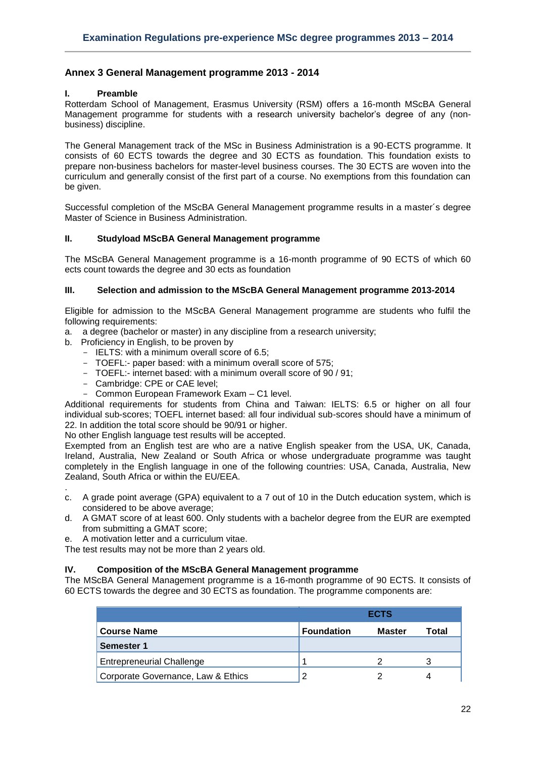# <span id="page-21-0"></span>**Annex 3 General Management programme 2013 - 2014**

#### **I. Preamble**

Rotterdam School of Management, Erasmus University (RSM) offers a 16-month MScBA General Management programme for students with a research university bachelor's degree of any (nonbusiness) discipline.

The General Management track of the MSc in Business Administration is a 90-ECTS programme. It consists of 60 ECTS towards the degree and 30 ECTS as foundation. This foundation exists to prepare non-business bachelors for master-level business courses. The 30 ECTS are woven into the curriculum and generally consist of the first part of a course. No exemptions from this foundation can be given.

Successful completion of the MScBA General Management programme results in a master´s degree Master of Science in Business Administration.

# **II. Studyload MScBA General Management programme**

The MScBA General Management programme is a 16-month programme of 90 ECTS of which 60 ects count towards the degree and 30 ects as foundation

# **III. Selection and admission to the MScBA General Management programme 2013-2014**

Eligible for admission to the MScBA General Management programme are students who fulfil the following requirements:

- a. a degree (bachelor or master) in any discipline from a research university;
- b. Proficiency in English, to be proven by
	- IELTS: with a minimum overall score of 6.5;
	- TOEFL:- paper based: with a minimum overall score of 575;
	- TOEFL:- internet based: with a minimum overall score of 90 / 91;
	- Cambridge: CPE or CAE level;
	- Common European Framework Exam C1 level.

Additional requirements for students from China and Taiwan: IELTS: 6.5 or higher on all four individual sub-scores; TOEFL internet based: all four individual sub-scores should have a minimum of 22. In addition the total score should be 90/91 or higher.

No other English language test results will be accepted.

Exempted from an English test are who are a native English speaker from the USA, UK, Canada, Ireland, Australia, New Zealand or South Africa or whose undergraduate programme was taught completely in the English language in one of the following countries: USA, Canada, Australia, New Zealand, South Africa or within the EU/EEA.

- c. A grade point average (GPA) equivalent to a 7 out of 10 in the Dutch education system, which is considered to be above average;
- d. A GMAT score of at least 600. Only students with a bachelor degree from the EUR are exempted from submitting a GMAT score;
- e. A motivation letter and a curriculum vitae.

.

The test results may not be more than 2 years old.

#### **IV. Composition of the MScBA General Management programme**

The MScBA General Management programme is a 16-month programme of 90 ECTS. It consists of 60 ECTS towards the degree and 30 ECTS as foundation. The programme components are:

|                                    | <b>ECTS</b>       |               |       |  |  |
|------------------------------------|-------------------|---------------|-------|--|--|
| <b>Course Name</b>                 | <b>Foundation</b> | <b>Master</b> | Total |  |  |
| Semester 1                         |                   |               |       |  |  |
| <b>Entrepreneurial Challenge</b>   |                   |               |       |  |  |
| Corporate Governance, Law & Ethics | 2                 |               | 4     |  |  |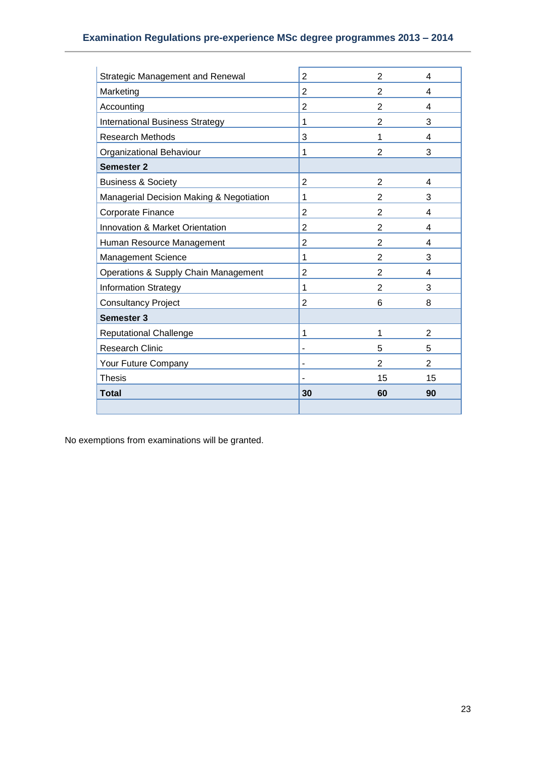| <b>Strategic Management and Renewal</b>  | $\overline{2}$           | $\overline{2}$ | 4  |
|------------------------------------------|--------------------------|----------------|----|
| Marketing                                | $\overline{2}$           | $\overline{2}$ | 4  |
| Accounting                               | 2                        | $\overline{2}$ | 4  |
| <b>International Business Strategy</b>   | 1                        | $\overline{2}$ | 3  |
| <b>Research Methods</b>                  | 3                        | 1              | 4  |
| Organizational Behaviour                 | 1                        | $\overline{2}$ | 3  |
| <b>Semester 2</b>                        |                          |                |    |
| <b>Business &amp; Society</b>            | $\overline{2}$           | $\overline{2}$ | 4  |
| Managerial Decision Making & Negotiation | $\mathbf{1}$             | $\overline{2}$ | 3  |
| Corporate Finance                        | $\overline{2}$           | $\overline{2}$ | 4  |
| Innovation & Market Orientation          | $\overline{2}$           | 2              | 4  |
| Human Resource Management                | $\overline{2}$           | $\overline{2}$ | 4  |
| <b>Management Science</b>                | 1                        | $\overline{2}$ | 3  |
| Operations & Supply Chain Management     | $\overline{2}$           | $\overline{2}$ | 4  |
| <b>Information Strategy</b>              | 1                        | $\overline{2}$ | 3  |
| <b>Consultancy Project</b>               | 2                        | 6              | 8  |
| Semester 3                               |                          |                |    |
| <b>Reputational Challenge</b>            | 1                        | 1              | 2  |
| <b>Research Clinic</b>                   | ٠                        | 5              | 5  |
| Your Future Company                      | $\overline{\phantom{a}}$ | $\overline{2}$ | 2  |
| Thesis                                   | ۳                        | 15             | 15 |
| <b>Total</b>                             | 30                       | 60             | 90 |
|                                          |                          |                |    |

# **Examination Regulations pre-experience MSc degree programmes 2013 – 2014**

No exemptions from examinations will be granted.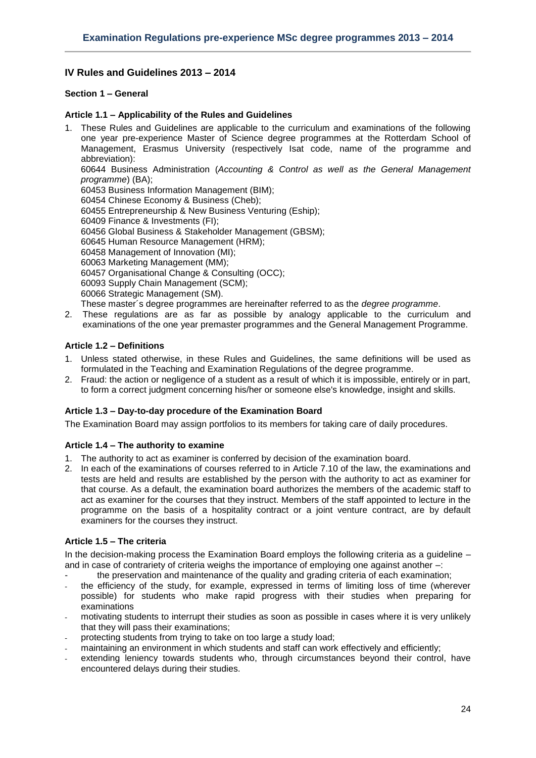# <span id="page-23-0"></span>**IV Rules and Guidelines 2013 – 2014**

# <span id="page-23-2"></span><span id="page-23-1"></span>**Section 1 – General**

# **Article 1.1 – Applicability of the Rules and Guidelines**

- 1. These Rules and Guidelines are applicable to the curriculum and examinations of the following one year pre-experience Master of Science degree programmes at the Rotterdam School of Management, Erasmus University (respectively Isat code, name of the programme and abbreviation): 60644 Business Administration (*Accounting & Control as well as the General Management programme*) (BA); 60453 Business Information Management (BIM); 60454 Chinese Economy & Business (Cheb); 60455 Entrepreneurship & New Business Venturing (Eship); 60409 Finance & Investments (FI); 60456 Global Business & Stakeholder Management (GBSM); 60645 Human Resource Management (HRM); 60458 Management of Innovation (MI); 60063 Marketing Management (MM); 60457 Organisational Change & Consulting (OCC); 60093 Supply Chain Management (SCM); 60066 Strategic Management (SM).
	- These master´s degree programmes are hereinafter referred to as the *degree programme*.
- 2. These regulations are as far as possible by analogy applicable to the curriculum and examinations of the one year premaster programmes and the General Management Programme.

# <span id="page-23-3"></span>**Article 1.2 – Definitions**

- 1. Unless stated otherwise, in these Rules and Guidelines, the same definitions will be used as formulated in the Teaching and Examination Regulations of the degree programme.
- 2. Fraud: the action or negligence of a student as a result of which it is impossible, entirely or in part, to form a correct judgment concerning his/her or someone else's knowledge, insight and skills.

## <span id="page-23-4"></span>**Article 1.3 – Day-to-day procedure of the Examination Board**

<span id="page-23-5"></span>The Examination Board may assign portfolios to its members for taking care of daily procedures.

#### **Article 1.4 – The authority to examine**

- 1. The authority to act as examiner is conferred by decision of the examination board.
- 2. In each of the examinations of courses referred to in Article 7.10 of the law, the examinations and tests are held and results are established by the person with the authority to act as examiner for that course. As a default, the examination board authorizes the members of the academic staff to act as examiner for the courses that they instruct. Members of the staff appointed to lecture in the programme on the basis of a hospitality contract or a joint venture contract, are by default examiners for the courses they instruct.

# <span id="page-23-6"></span>**Article 1.5 – The criteria**

In the decision-making process the Examination Board employs the following criteria as a guideline – and in case of contrariety of criteria weighs the importance of employing one against another –:

- the preservation and maintenance of the quality and grading criteria of each examination;
- the efficiency of the study, for example, expressed in terms of limiting loss of time (wherever possible) for students who make rapid progress with their studies when preparing for examinations
- motivating students to interrupt their studies as soon as possible in cases where it is very unlikely that they will pass their examinations;
- protecting students from trying to take on too large a study load;
- maintaining an environment in which students and staff can work effectively and efficiently;
- extending leniency towards students who, through circumstances beyond their control, have encountered delays during their studies.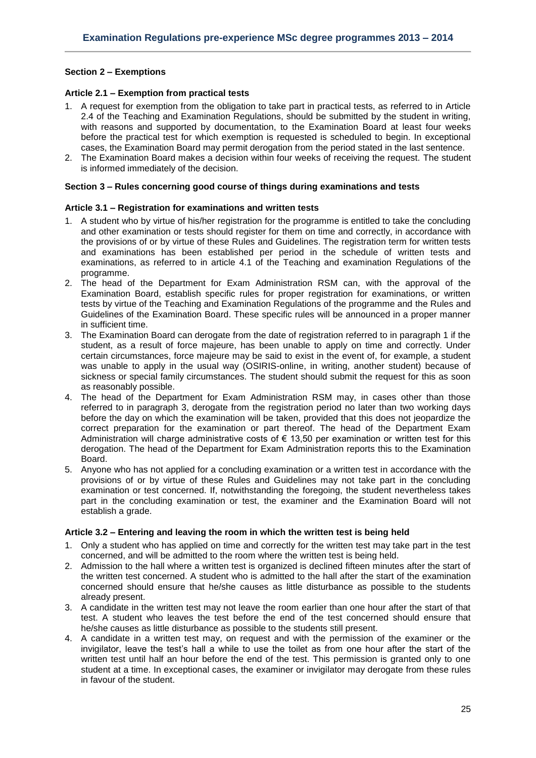# <span id="page-24-1"></span><span id="page-24-0"></span>**Section 2 – Exemptions**

#### **Article 2.1 – Exemption from practical tests**

- 1. A request for exemption from the obligation to take part in practical tests, as referred to in Article 2.4 of the Teaching and Examination Regulations, should be submitted by the student in writing, with reasons and supported by documentation, to the Examination Board at least four weeks before the practical test for which exemption is requested is scheduled to begin. In exceptional cases, the Examination Board may permit derogation from the period stated in the last sentence.
- 2. The Examination Board makes a decision within four weeks of receiving the request. The student is informed immediately of the decision.

### <span id="page-24-3"></span><span id="page-24-2"></span>**Section 3 – Rules concerning good course of things during examinations and tests**

# **Article 3.1 – Registration for examinations and written tests**

- 1. A student who by virtue of his/her registration for the programme is entitled to take the concluding and other examination or tests should register for them on time and correctly, in accordance with the provisions of or by virtue of these Rules and Guidelines. The registration term for written tests and examinations has been established per period in the schedule of written tests and examinations, as referred to in article 4.1 of the Teaching and examination Regulations of the programme.
- 2. The head of the Department for Exam Administration RSM can, with the approval of the Examination Board, establish specific rules for proper registration for examinations, or written tests by virtue of the Teaching and Examination Regulations of the programme and the Rules and Guidelines of the Examination Board. These specific rules will be announced in a proper manner in sufficient time.
- 3. The Examination Board can derogate from the date of registration referred to in paragraph 1 if the student, as a result of force majeure, has been unable to apply on time and correctly. Under certain circumstances, force majeure may be said to exist in the event of, for example, a student was unable to apply in the usual way (OSIRIS-online, in writing, another student) because of sickness or special family circumstances. The student should submit the request for this as soon as reasonably possible.
- 4. The head of the Department for Exam Administration RSM may, in cases other than those referred to in paragraph 3, derogate from the registration period no later than two working days before the day on which the examination will be taken, provided that this does not jeopardize the correct preparation for the examination or part thereof. The head of the Department Exam Administration will charge administrative costs of  $\epsilon$  13,50 per examination or written test for this derogation. The head of the Department for Exam Administration reports this to the Examination Board.
- 5. Anyone who has not applied for a concluding examination or a written test in accordance with the provisions of or by virtue of these Rules and Guidelines may not take part in the concluding examination or test concerned. If, notwithstanding the foregoing, the student nevertheless takes part in the concluding examination or test, the examiner and the Examination Board will not establish a grade.

#### <span id="page-24-4"></span>**Article 3.2 – Entering and leaving the room in which the written test is being held**

- 1. Only a student who has applied on time and correctly for the written test may take part in the test concerned, and will be admitted to the room where the written test is being held.
- 2. Admission to the hall where a written test is organized is declined fifteen minutes after the start of the written test concerned. A student who is admitted to the hall after the start of the examination concerned should ensure that he/she causes as little disturbance as possible to the students already present.
- 3. A candidate in the written test may not leave the room earlier than one hour after the start of that test. A student who leaves the test before the end of the test concerned should ensure that he/she causes as little disturbance as possible to the students still present.
- 4. A candidate in a written test may, on request and with the permission of the examiner or the invigilator, leave the test's hall a while to use the toilet as from one hour after the start of the written test until half an hour before the end of the test. This permission is granted only to one student at a time. In exceptional cases, the examiner or invigilator may derogate from these rules in favour of the student.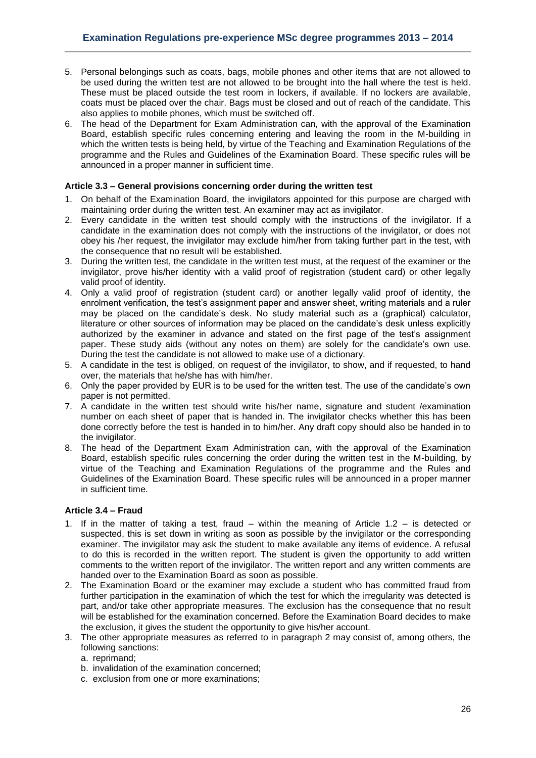- 5. Personal belongings such as coats, bags, mobile phones and other items that are not allowed to be used during the written test are not allowed to be brought into the hall where the test is held. These must be placed outside the test room in lockers, if available. If no lockers are available, coats must be placed over the chair. Bags must be closed and out of reach of the candidate. This also applies to mobile phones, which must be switched off.
- 6. The head of the Department for Exam Administration can, with the approval of the Examination Board, establish specific rules concerning entering and leaving the room in the M-building in which the written tests is being held, by virtue of the Teaching and Examination Regulations of the programme and the Rules and Guidelines of the Examination Board. These specific rules will be announced in a proper manner in sufficient time.

## <span id="page-25-0"></span>**Article 3.3 – General provisions concerning order during the written test**

- 1. On behalf of the Examination Board, the invigilators appointed for this purpose are charged with maintaining order during the written test. An examiner may act as invigilator.
- 2. Every candidate in the written test should comply with the instructions of the invigilator. If a candidate in the examination does not comply with the instructions of the invigilator, or does not obey his /her request, the invigilator may exclude him/her from taking further part in the test, with the consequence that no result will be established.
- 3. During the written test, the candidate in the written test must, at the request of the examiner or the invigilator, prove his/her identity with a valid proof of registration (student card) or other legally valid proof of identity.
- 4. Only a valid proof of registration (student card) or another legally valid proof of identity, the enrolment verification, the test's assignment paper and answer sheet, writing materials and a ruler may be placed on the candidate's desk. No study material such as a (graphical) calculator, literature or other sources of information may be placed on the candidate's desk unless explicitly authorized by the examiner in advance and stated on the first page of the test's assignment paper. These study aids (without any notes on them) are solely for the candidate's own use. During the test the candidate is not allowed to make use of a dictionary.
- 5. A candidate in the test is obliged, on request of the invigilator, to show, and if requested, to hand over, the materials that he/she has with him/her.
- 6. Only the paper provided by EUR is to be used for the written test. The use of the candidate's own paper is not permitted.
- 7. A candidate in the written test should write his/her name, signature and student /examination number on each sheet of paper that is handed in. The invigilator checks whether this has been done correctly before the test is handed in to him/her. Any draft copy should also be handed in to the invigilator.
- 8. The head of the Department Exam Administration can, with the approval of the Examination Board, establish specific rules concerning the order during the written test in the M-building, by virtue of the Teaching and Examination Regulations of the programme and the Rules and Guidelines of the Examination Board. These specific rules will be announced in a proper manner in sufficient time.

#### <span id="page-25-1"></span>**Article 3.4 – Fraud**

- 1. If in the matter of taking a test, fraud within the meaning of Article 1.2 is detected or suspected, this is set down in writing as soon as possible by the invigilator or the corresponding examiner. The invigilator may ask the student to make available any items of evidence. A refusal to do this is recorded in the written report. The student is given the opportunity to add written comments to the written report of the invigilator. The written report and any written comments are handed over to the Examination Board as soon as possible.
- 2. The Examination Board or the examiner may exclude a student who has committed fraud from further participation in the examination of which the test for which the irregularity was detected is part, and/or take other appropriate measures. The exclusion has the consequence that no result will be established for the examination concerned. Before the Examination Board decides to make the exclusion, it gives the student the opportunity to give his/her account.
- 3. The other appropriate measures as referred to in paragraph 2 may consist of, among others, the following sanctions:
	- a. reprimand;
	- b. invalidation of the examination concerned;
	- c. exclusion from one or more examinations;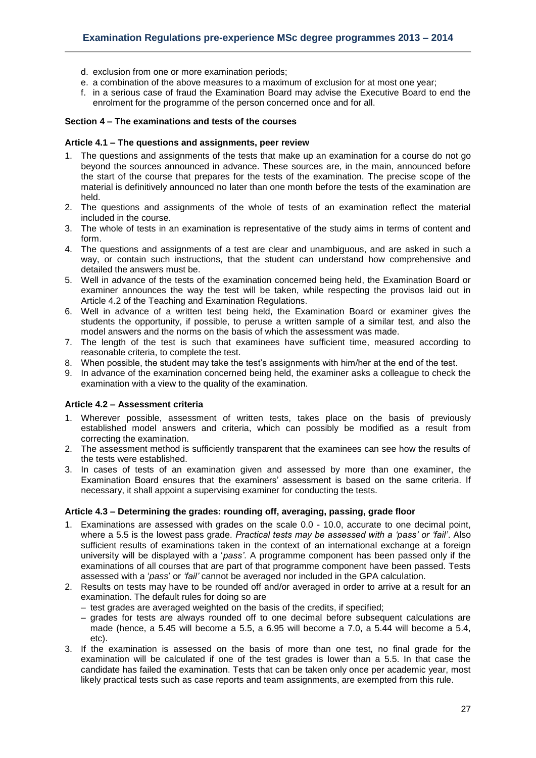- d. exclusion from one or more examination periods;
- e. a combination of the above measures to a maximum of exclusion for at most one year;
- f. in a serious case of fraud the Examination Board may advise the Executive Board to end the enrolment for the programme of the person concerned once and for all.

# <span id="page-26-1"></span><span id="page-26-0"></span>**Section 4 – The examinations and tests of the courses**

# **Article 4.1 – The questions and assignments, peer review**

- 1. The questions and assignments of the tests that make up an examination for a course do not go beyond the sources announced in advance. These sources are, in the main, announced before the start of the course that prepares for the tests of the examination. The precise scope of the material is definitively announced no later than one month before the tests of the examination are held.
- 2. The questions and assignments of the whole of tests of an examination reflect the material included in the course.
- 3. The whole of tests in an examination is representative of the study aims in terms of content and form.
- 4. The questions and assignments of a test are clear and unambiguous, and are asked in such a way, or contain such instructions, that the student can understand how comprehensive and detailed the answers must be.
- 5. Well in advance of the tests of the examination concerned being held, the Examination Board or examiner announces the way the test will be taken, while respecting the provisos laid out in Article 4.2 of the Teaching and Examination Regulations.
- 6. Well in advance of a written test being held, the Examination Board or examiner gives the students the opportunity, if possible, to peruse a written sample of a similar test, and also the model answers and the norms on the basis of which the assessment was made.
- 7. The length of the test is such that examinees have sufficient time, measured according to reasonable criteria, to complete the test.
- 8. When possible, the student may take the test's assignments with him/her at the end of the test.
- 9. In advance of the examination concerned being held, the examiner asks a colleague to check the examination with a view to the quality of the examination.

#### <span id="page-26-2"></span>**Article 4.2 – Assessment criteria**

- 1. Wherever possible, assessment of written tests, takes place on the basis of previously established model answers and criteria, which can possibly be modified as a result from correcting the examination.
- 2. The assessment method is sufficiently transparent that the examinees can see how the results of the tests were established.
- 3. In cases of tests of an examination given and assessed by more than one examiner, the Examination Board ensures that the examiners' assessment is based on the same criteria. If necessary, it shall appoint a supervising examiner for conducting the tests.

#### <span id="page-26-3"></span>**Article 4.3 – Determining the grades: rounding off, averaging, passing, grade floor**

- 1. Examinations are assessed with grades on the scale 0.0 10.0, accurate to one decimal point, where a 5.5 is the lowest pass grade*. Practical tests may be assessed with a 'pass' or 'fail'*. Also sufficient results of examinations taken in the context of an international exchange at a foreign university will be displayed with a '*pass'*. A programme component has been passed only if the examinations of all courses that are part of that programme component have been passed. Tests assessed with a '*pass*' or *'fail'* cannot be averaged nor included in the GPA calculation.
- 2. Results on tests may have to be rounded off and/or averaged in order to arrive at a result for an examination. The default rules for doing so are
	- test grades are averaged weighted on the basis of the credits, if specified;
	- grades for tests are always rounded off to one decimal before subsequent calculations are made (hence, a 5.45 will become a 5.5, a 6.95 will become a 7.0, a 5.44 will become a 5.4, etc).
- 3. If the examination is assessed on the basis of more than one test, no final grade for the examination will be calculated if one of the test grades is lower than a 5.5. In that case the candidate has failed the examination. Tests that can be taken only once per academic year, most likely practical tests such as case reports and team assignments, are exempted from this rule.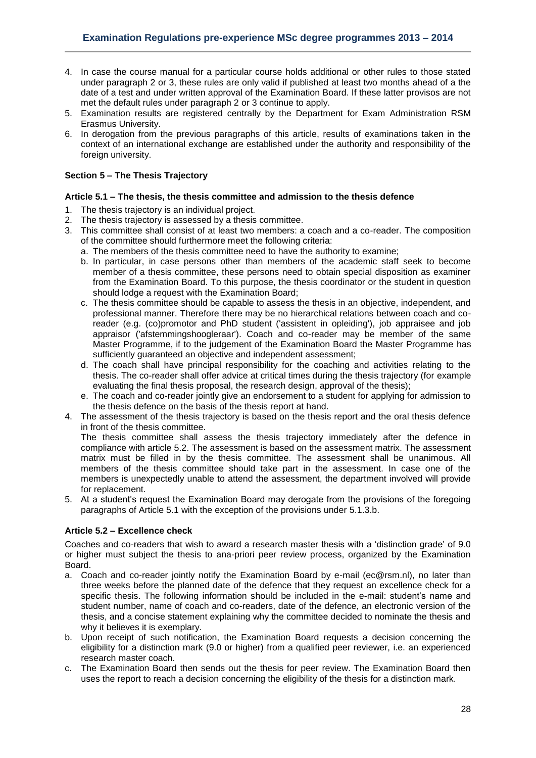- 4. In case the course manual for a particular course holds additional or other rules to those stated under paragraph 2 or 3, these rules are only valid if published at least two months ahead of a the date of a test and under written approval of the Examination Board. If these latter provisos are not met the default rules under paragraph 2 or 3 continue to apply.
- 5. Examination results are registered centrally by the Department for Exam Administration RSM Erasmus University.
- 6. In derogation from the previous paragraphs of this article, results of examinations taken in the context of an international exchange are established under the authority and responsibility of the foreign university.

# <span id="page-27-1"></span><span id="page-27-0"></span>**Section 5 – The Thesis Trajectory**

# **Article 5.1 – The thesis, the thesis committee and admission to the thesis defence**

- 1. The thesis trajectory is an individual project.
- 2. The thesis trajectory is assessed by a thesis committee.
- 3. This committee shall consist of at least two members: a coach and a co-reader. The composition of the committee should furthermore meet the following criteria:
	- a. The members of the thesis committee need to have the authority to examine;
	- b. In particular, in case persons other than members of the academic staff seek to become member of a thesis committee, these persons need to obtain special disposition as examiner from the Examination Board. To this purpose, the thesis coordinator or the student in question should lodge a request with the Examination Board;
	- c. The thesis committee should be capable to assess the thesis in an objective, independent, and professional manner. Therefore there may be no hierarchical relations between coach and coreader (e.g. (co)promotor and PhD student ('assistent in opleiding'), job appraisee and job appraisor ('afstemmingshoogleraar'). Coach and co-reader may be member of the same Master Programme, if to the judgement of the Examination Board the Master Programme has sufficiently guaranteed an objective and independent assessment;
	- d. The coach shall have principal responsibility for the coaching and activities relating to the thesis. The co-reader shall offer advice at critical times during the thesis trajectory (for example evaluating the final thesis proposal, the research design, approval of the thesis);
	- e. The coach and co-reader jointly give an endorsement to a student for applying for admission to the thesis defence on the basis of the thesis report at hand.
- 4. The assessment of the thesis trajectory is based on the thesis report and the oral thesis defence in front of the thesis committee.

The thesis committee shall assess the thesis trajectory immediately after the defence in compliance with article 5.2. The assessment is based on the assessment matrix. The assessment matrix must be filled in by the thesis committee. The assessment shall be unanimous. All members of the thesis committee should take part in the assessment. In case one of the members is unexpectedly unable to attend the assessment, the department involved will provide for replacement.

5. At a student's request the Examination Board may derogate from the provisions of the foregoing paragraphs of Article 5.1 with the exception of the provisions under 5.1.3.b.

# <span id="page-27-2"></span>**Article 5.2 – Excellence check**

Coaches and co-readers that wish to award a research master thesis with a 'distinction grade' of 9.0 or higher must subject the thesis to ana-priori peer review process, organized by the Examination Board.

- a. Coach and co-reader jointly notify the Examination Board by e-mail [\(ec@rsm.nl\)](mailto:ec@rsm.nl), no later than three weeks before the planned date of the defence that they request an excellence check for a specific thesis. The following information should be included in the e-mail: student's name and student number, name of coach and co-readers, date of the defence, an electronic version of the thesis, and a concise statement explaining why the committee decided to nominate the thesis and why it believes it is exemplary.
- b. Upon receipt of such notification, the Examination Board requests a decision concerning the eligibility for a distinction mark (9.0 or higher) from a qualified peer reviewer, i.e. an experienced research master coach.
- c. The Examination Board then sends out the thesis for peer review. The Examination Board then uses the report to reach a decision concerning the eligibility of the thesis for a distinction mark.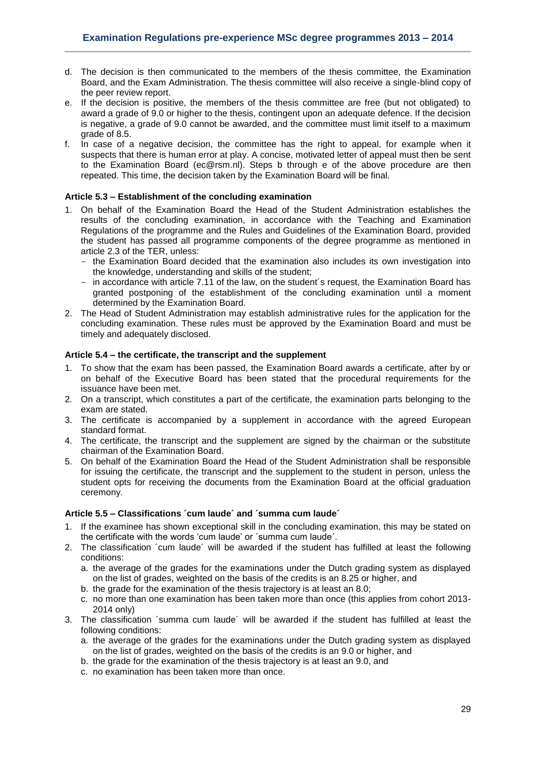- d. The decision is then communicated to the members of the thesis committee, the Examination Board, and the Exam Administration. The thesis committee will also receive a single-blind copy of the peer review report.
- e. If the decision is positive, the members of the thesis committee are free (but not obligated) to award a grade of 9.0 or higher to the thesis, contingent upon an adequate defence. If the decision is negative, a grade of 9.0 cannot be awarded, and the committee must limit itself to a maximum grade of 8.5.
- f. In case of a negative decision, the committee has the right to appeal, for example when it suspects that there is human error at play. A concise, motivated letter of appeal must then be sent to the Examination Board [\(ec@rsm.nl\)](mailto:ec@rsm.nl). Steps b through e of the above procedure are then repeated. This time, the decision taken by the Examination Board will be final.

# <span id="page-28-0"></span>**Article 5.3 – Establishment of the concluding examination**

- 1. On behalf of the Examination Board the Head of the Student Administration establishes the results of the concluding examination, in accordance with the Teaching and Examination Regulations of the programme and the Rules and Guidelines of the Examination Board, provided the student has passed all programme components of the degree programme as mentioned in article 2.3 of the TER, unless:
	- the Examination Board decided that the examination also includes its own investigation into the knowledge, understanding and skills of the student;
	- in accordance with article 7.11 of the law, on the student's request, the Examination Board has granted postponing of the establishment of the concluding examination until a moment determined by the Examination Board.
- 2. The Head of Student Administration may establish administrative rules for the application for the concluding examination. These rules must be approved by the Examination Board and must be timely and adequately disclosed.

# <span id="page-28-1"></span>**Article 5.4 – the certificate, the transcript and the supplement**

- 1. To show that the exam has been passed, the Examination Board awards a certificate, after by or on behalf of the Executive Board has been stated that the procedural requirements for the issuance have been met.
- 2. On a transcript, which constitutes a part of the certificate, the examination parts belonging to the exam are stated.
- 3. The certificate is accompanied by a supplement in accordance with the agreed European standard format.
- 4. The certificate, the transcript and the supplement are signed by the chairman or the substitute chairman of the Examination Board.
- 5. On behalf of the Examination Board the Head of the Student Administration shall be responsible for issuing the certificate, the transcript and the supplement to the student in person, unless the student opts for receiving the documents from the Examination Board at the official graduation ceremony.

#### <span id="page-28-2"></span>**Article 5.5 – Classifications ´cum laude´ and ´summa cum laude´**

- 1. If the examinee has shown exceptional skill in the concluding examination, this may be stated on the certificate with the words 'cum laude' or ´summa cum laude´.
- 2. The classification ´cum laude´ will be awarded if the student has fulfilled at least the following conditions:
	- a. the average of the grades for the examinations under the Dutch grading system as displayed on the list of grades, weighted on the basis of the credits is an 8.25 or higher, and
	- b. the grade for the examination of the thesis trajectory is at least an 8.0;
	- c. no more than one examination has been taken more than once (this applies from cohort 2013- 2014 only)
- 3. The classification ´summa cum laude´ will be awarded if the student has fulfilled at least the following conditions:
	- a. the average of the grades for the examinations under the Dutch grading system as displayed on the list of grades, weighted on the basis of the credits is an 9.0 or higher, and
	- b. the grade for the examination of the thesis trajectory is at least an 9.0, and
	- c. no examination has been taken more than once.